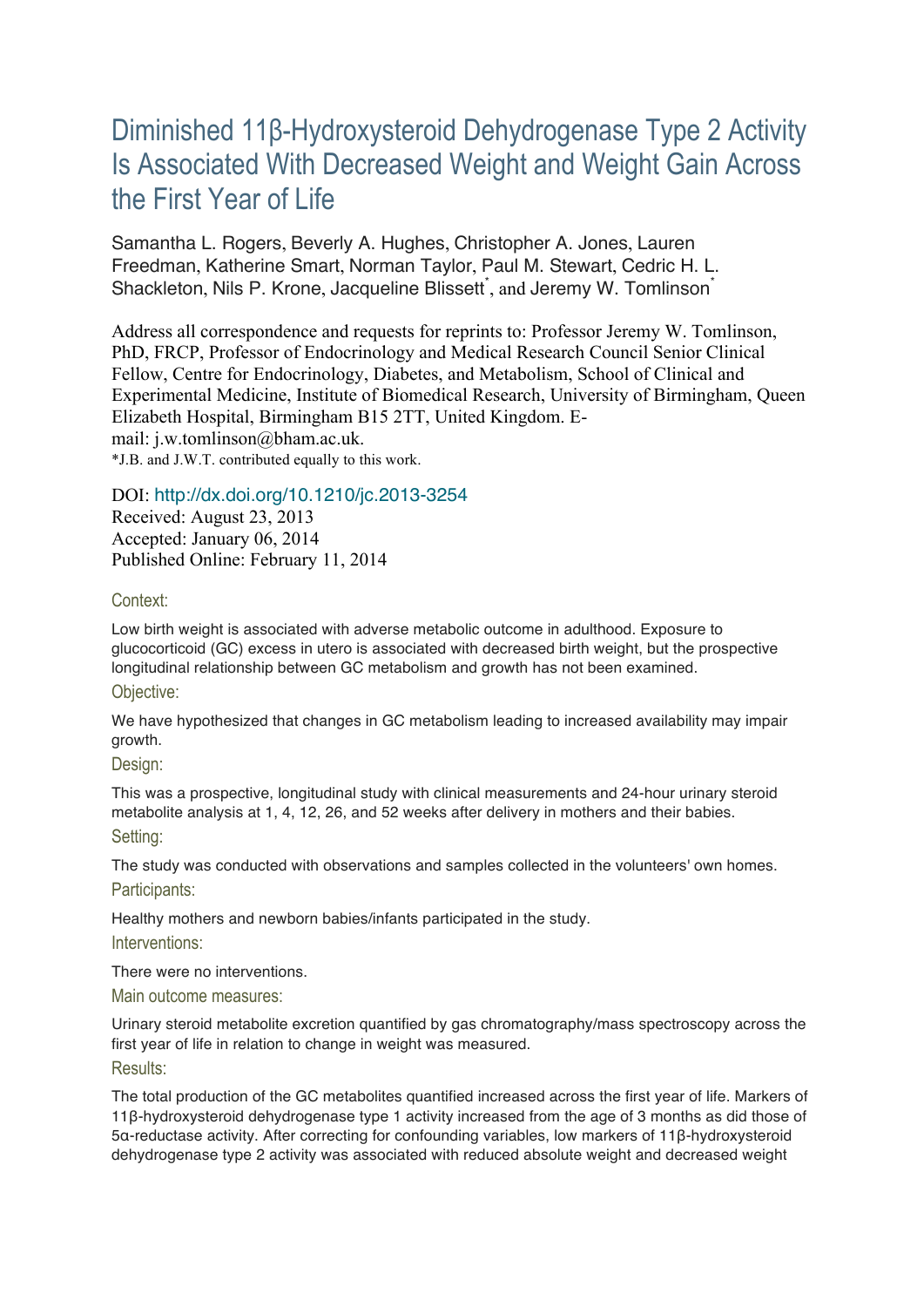# Diminished 11β-Hydroxysteroid Dehydrogenase Type 2 Activity Is Associated With Decreased Weight and Weight Gain Across the First Year of Life

Samantha L. Rogers, Beverly A. Hughes, Christopher A. Jones, Lauren Freedman, Katherine Smart, Norman Taylor, Paul M. Stewart, Cedric H. L. Shackleton, Nils P. Krone, Jacqueline Blissett<sup>\*</sup>, and Jeremy W. Tomlinson<sup>\*</sup>

Address all correspondence and requests for reprints to: Professor Jeremy W. Tomlinson, PhD, FRCP, Professor of Endocrinology and Medical Research Council Senior Clinical Fellow, Centre for Endocrinology, Diabetes, and Metabolism, School of Clinical and Experimental Medicine, Institute of Biomedical Research, University of Birmingham, Queen Elizabeth Hospital, Birmingham B15 2TT, United Kingdom. Email: j.w.tomlinson@bham.ac.uk. \*J.B. and J.W.T. contributed equally to this work.

# DOI: http://dx.doi.org/10.1210/jc.2013-3254

Received: August 23, 2013 Accepted: January 06, 2014 Published Online: February 11, 2014

# Context:

Low birth weight is associated with adverse metabolic outcome in adulthood. Exposure to glucocorticoid (GC) excess in utero is associated with decreased birth weight, but the prospective longitudinal relationship between GC metabolism and growth has not been examined.

# Objective:

We have hypothesized that changes in GC metabolism leading to increased availability may impair growth.

# Design:

This was a prospective, longitudinal study with clinical measurements and 24-hour urinary steroid metabolite analysis at 1, 4, 12, 26, and 52 weeks after delivery in mothers and their babies. Setting:

The study was conducted with observations and samples collected in the volunteers' own homes. Participants:

Healthy mothers and newborn babies/infants participated in the study.

Interventions:

There were no interventions.

Main outcome measures:

Urinary steroid metabolite excretion quantified by gas chromatography/mass spectroscopy across the first year of life in relation to change in weight was measured. Results:

The total production of the GC metabolites quantified increased across the first year of life. Markers of 11β-hydroxysteroid dehydrogenase type 1 activity increased from the age of 3 months as did those of 5α-reductase activity. After correcting for confounding variables, low markers of 11β-hydroxysteroid dehydrogenase type 2 activity was associated with reduced absolute weight and decreased weight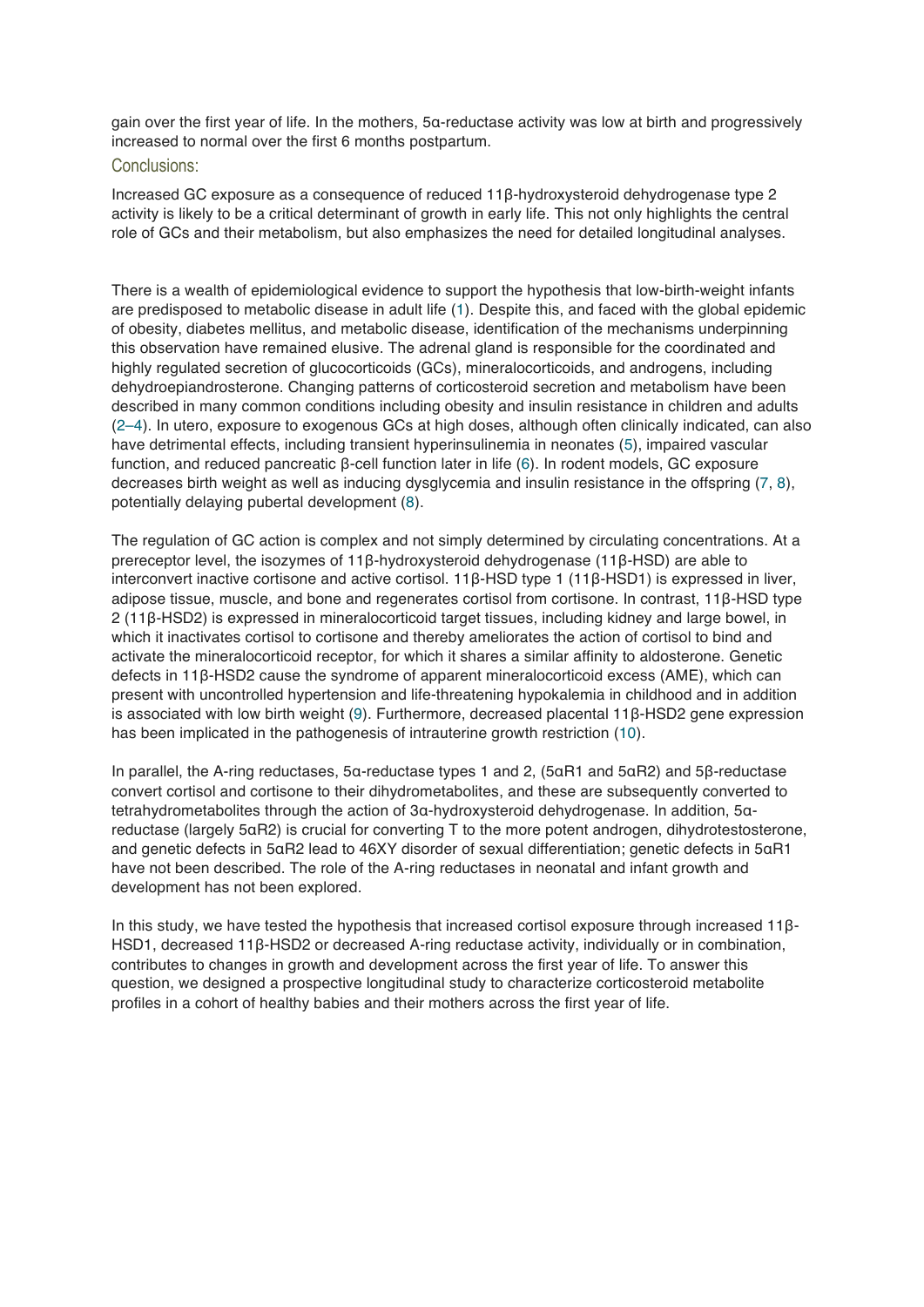gain over the first year of life. In the mothers, 5α-reductase activity was low at birth and progressively increased to normal over the first 6 months postpartum.

# Conclusions:

Increased GC exposure as a consequence of reduced 11β-hydroxysteroid dehydrogenase type 2 activity is likely to be a critical determinant of growth in early life. This not only highlights the central role of GCs and their metabolism, but also emphasizes the need for detailed longitudinal analyses.

There is a wealth of epidemiological evidence to support the hypothesis that low-birth-weight infants are predisposed to metabolic disease in adult life (1). Despite this, and faced with the global epidemic of obesity, diabetes mellitus, and metabolic disease, identification of the mechanisms underpinning this observation have remained elusive. The adrenal gland is responsible for the coordinated and highly regulated secretion of glucocorticoids (GCs), mineralocorticoids, and androgens, including dehydroepiandrosterone. Changing patterns of corticosteroid secretion and metabolism have been described in many common conditions including obesity and insulin resistance in children and adults (2–4). In utero, exposure to exogenous GCs at high doses, although often clinically indicated, can also have detrimental effects, including transient hyperinsulinemia in neonates (5), impaired vascular function, and reduced pancreatic β-cell function later in life (6). In rodent models, GC exposure decreases birth weight as well as inducing dysglycemia and insulin resistance in the offspring (7, 8), potentially delaying pubertal development (8).

The regulation of GC action is complex and not simply determined by circulating concentrations. At a prereceptor level, the isozymes of 11β-hydroxysteroid dehydrogenase (11β-HSD) are able to interconvert inactive cortisone and active cortisol. 11β-HSD type 1 (11β-HSD1) is expressed in liver, adipose tissue, muscle, and bone and regenerates cortisol from cortisone. In contrast, 11β-HSD type 2 (11β-HSD2) is expressed in mineralocorticoid target tissues, including kidney and large bowel, in which it inactivates cortisol to cortisone and thereby ameliorates the action of cortisol to bind and activate the mineralocorticoid receptor, for which it shares a similar affinity to aldosterone. Genetic defects in 11β-HSD2 cause the syndrome of apparent mineralocorticoid excess (AME), which can present with uncontrolled hypertension and life-threatening hypokalemia in childhood and in addition is associated with low birth weight (9). Furthermore, decreased placental 11β-HSD2 gene expression has been implicated in the pathogenesis of intrauterine growth restriction (10).

In parallel, the A-ring reductases, 5α-reductase types 1 and 2, (5αR1 and 5αR2) and 5β-reductase convert cortisol and cortisone to their dihydrometabolites, and these are subsequently converted to tetrahydrometabolites through the action of 3α-hydroxysteroid dehydrogenase. In addition, 5αreductase (largely 5αR2) is crucial for converting T to the more potent androgen, dihydrotestosterone, and genetic defects in 5αR2 lead to 46XY disorder of sexual differentiation; genetic defects in 5αR1 have not been described. The role of the A-ring reductases in neonatal and infant growth and development has not been explored.

In this study, we have tested the hypothesis that increased cortisol exposure through increased 11β-HSD1, decreased 11β-HSD2 or decreased A-ring reductase activity, individually or in combination, contributes to changes in growth and development across the first year of life. To answer this question, we designed a prospective longitudinal study to characterize corticosteroid metabolite profiles in a cohort of healthy babies and their mothers across the first year of life.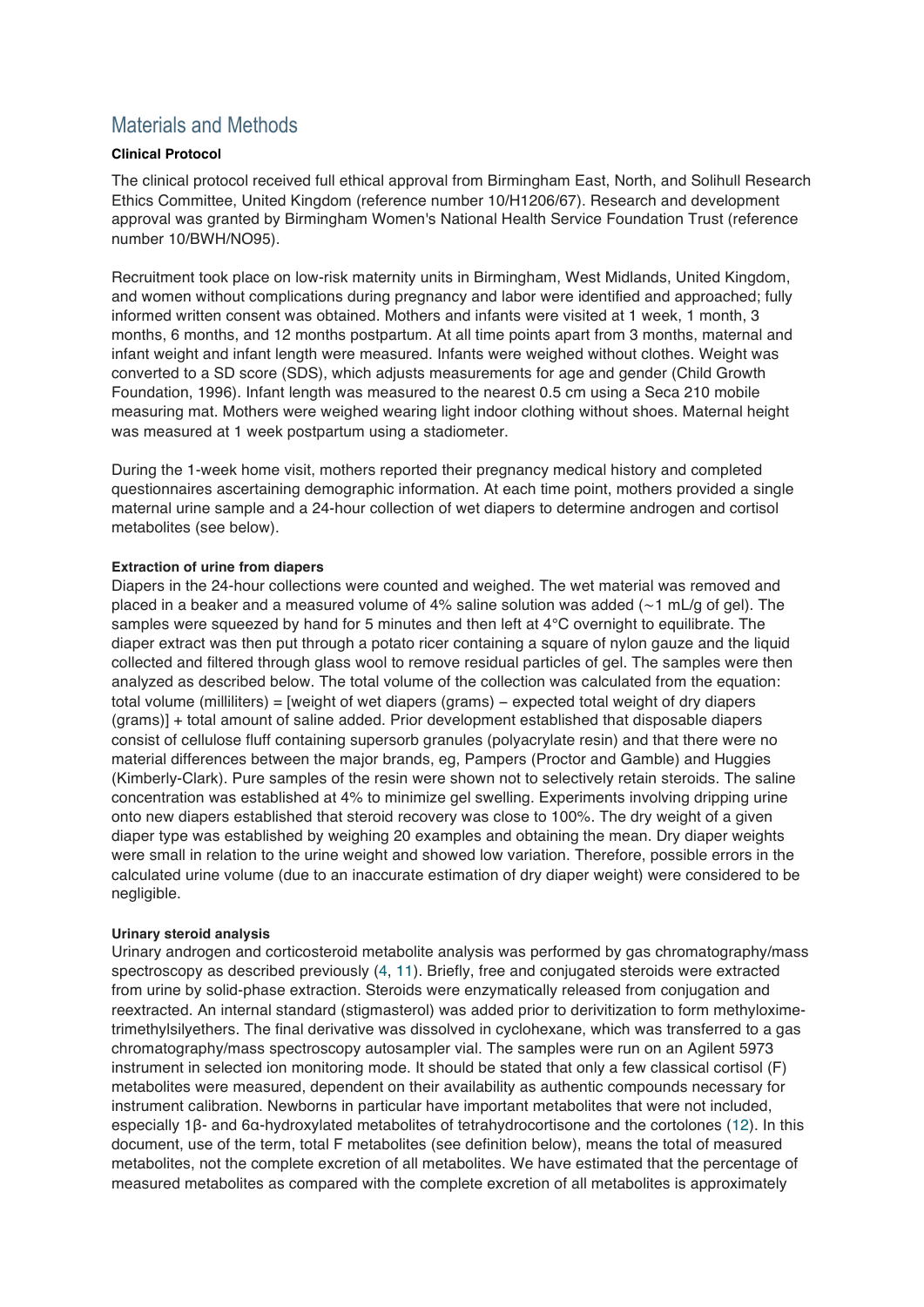# Materials and Methods

# **Clinical Protocol**

The clinical protocol received full ethical approval from Birmingham East, North, and Solihull Research Ethics Committee, United Kingdom (reference number 10/H1206/67). Research and development approval was granted by Birmingham Women's National Health Service Foundation Trust (reference number 10/BWH/NO95).

Recruitment took place on low-risk maternity units in Birmingham, West Midlands, United Kingdom, and women without complications during pregnancy and labor were identified and approached; fully informed written consent was obtained. Mothers and infants were visited at 1 week, 1 month, 3 months, 6 months, and 12 months postpartum. At all time points apart from 3 months, maternal and infant weight and infant length were measured. Infants were weighed without clothes. Weight was converted to a SD score (SDS), which adjusts measurements for age and gender (Child Growth Foundation, 1996). Infant length was measured to the nearest 0.5 cm using a Seca 210 mobile measuring mat. Mothers were weighed wearing light indoor clothing without shoes. Maternal height was measured at 1 week postpartum using a stadiometer.

During the 1-week home visit, mothers reported their pregnancy medical history and completed questionnaires ascertaining demographic information. At each time point, mothers provided a single maternal urine sample and a 24-hour collection of wet diapers to determine androgen and cortisol metabolites (see below).

# **Extraction of urine from diapers**

Diapers in the 24-hour collections were counted and weighed. The wet material was removed and placed in a beaker and a measured volume of 4% saline solution was added (∼1 mL/g of gel). The samples were squeezed by hand for 5 minutes and then left at 4°C overnight to equilibrate. The diaper extract was then put through a potato ricer containing a square of nylon gauze and the liquid collected and filtered through glass wool to remove residual particles of gel. The samples were then analyzed as described below. The total volume of the collection was calculated from the equation: total volume (milliliters) = [weight of wet diapers (grams) − expected total weight of dry diapers (grams)] + total amount of saline added. Prior development established that disposable diapers consist of cellulose fluff containing supersorb granules (polyacrylate resin) and that there were no material differences between the major brands, eg, Pampers (Proctor and Gamble) and Huggies (Kimberly-Clark). Pure samples of the resin were shown not to selectively retain steroids. The saline concentration was established at 4% to minimize gel swelling. Experiments involving dripping urine onto new diapers established that steroid recovery was close to 100%. The dry weight of a given diaper type was established by weighing 20 examples and obtaining the mean. Dry diaper weights were small in relation to the urine weight and showed low variation. Therefore, possible errors in the calculated urine volume (due to an inaccurate estimation of dry diaper weight) were considered to be negligible.

# **Urinary steroid analysis**

Urinary androgen and corticosteroid metabolite analysis was performed by gas chromatography/mass spectroscopy as described previously (4, 11). Briefly, free and conjugated steroids were extracted from urine by solid-phase extraction. Steroids were enzymatically released from conjugation and reextracted. An internal standard (stigmasterol) was added prior to derivitization to form methyloximetrimethylsilyethers. The final derivative was dissolved in cyclohexane, which was transferred to a gas chromatography/mass spectroscopy autosampler vial. The samples were run on an Agilent 5973 instrument in selected ion monitoring mode. It should be stated that only a few classical cortisol (F) metabolites were measured, dependent on their availability as authentic compounds necessary for instrument calibration. Newborns in particular have important metabolites that were not included, especially 1β- and 6α-hydroxylated metabolites of tetrahydrocortisone and the cortolones (12). In this document, use of the term, total F metabolites (see definition below), means the total of measured metabolites, not the complete excretion of all metabolites. We have estimated that the percentage of measured metabolites as compared with the complete excretion of all metabolites is approximately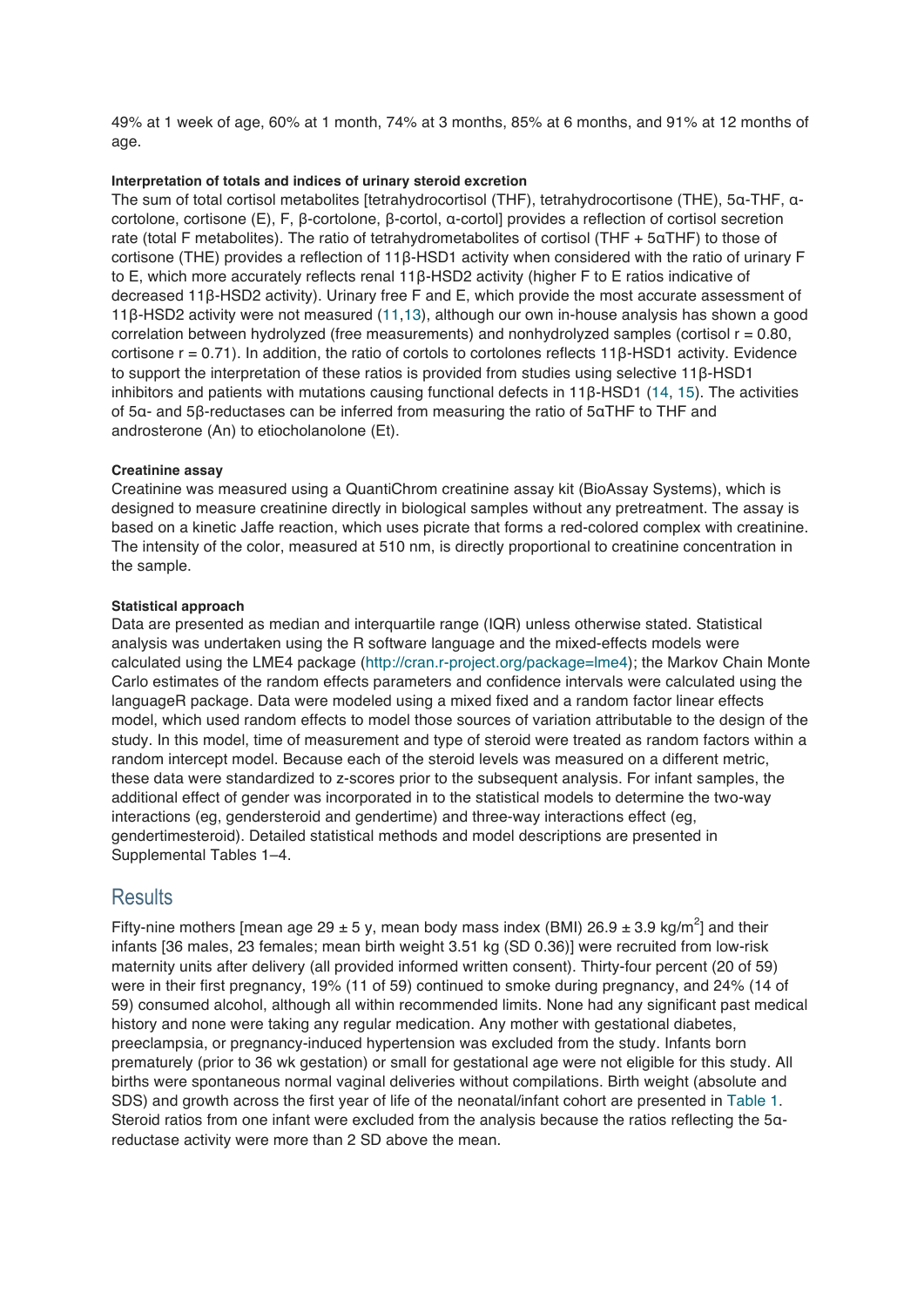49% at 1 week of age, 60% at 1 month, 74% at 3 months, 85% at 6 months, and 91% at 12 months of age.

#### **Interpretation of totals and indices of urinary steroid excretion**

The sum of total cortisol metabolites [tetrahydrocortisol (THF), tetrahydrocortisone (THE), 5α-THF, αcortolone, cortisone (E), F, β-cortolone, β-cortol, α-cortol] provides a reflection of cortisol secretion rate (total F metabolites). The ratio of tetrahydrometabolites of cortisol (THF + 5αTHF) to those of cortisone (THE) provides a reflection of 11β-HSD1 activity when considered with the ratio of urinary F to E, which more accurately reflects renal 11β-HSD2 activity (higher F to E ratios indicative of decreased 11β-HSD2 activity). Urinary free F and E, which provide the most accurate assessment of 11β-HSD2 activity were not measured (11,13), although our own in-house analysis has shown a good correlation between hydrolyzed (free measurements) and nonhydrolyzed samples (cortisol  $r = 0.80$ , cortisone r = 0.71). In addition, the ratio of cortols to cortolones reflects 11β-HSD1 activity. Evidence to support the interpretation of these ratios is provided from studies using selective 11β-HSD1 inhibitors and patients with mutations causing functional defects in 11β-HSD1 (14, 15). The activities of 5α- and 5β-reductases can be inferred from measuring the ratio of 5αTHF to THF and androsterone (An) to etiocholanolone (Et).

#### **Creatinine assay**

Creatinine was measured using a QuantiChrom creatinine assay kit (BioAssay Systems), which is designed to measure creatinine directly in biological samples without any pretreatment. The assay is based on a kinetic Jaffe reaction, which uses picrate that forms a red-colored complex with creatinine. The intensity of the color, measured at 510 nm, is directly proportional to creatinine concentration in the sample.

#### **Statistical approach**

Data are presented as median and interquartile range (IQR) unless otherwise stated. Statistical analysis was undertaken using the R software language and the mixed-effects models were calculated using the LME4 package (http://cran.r-project.org/package=lme4); the Markov Chain Monte Carlo estimates of the random effects parameters and confidence intervals were calculated using the languageR package. Data were modeled using a mixed fixed and a random factor linear effects model, which used random effects to model those sources of variation attributable to the design of the study. In this model, time of measurement and type of steroid were treated as random factors within a random intercept model. Because each of the steroid levels was measured on a different metric, these data were standardized to z-scores prior to the subsequent analysis. For infant samples, the additional effect of gender was incorporated in to the statistical models to determine the two-way interactions (eg, gendersteroid and gendertime) and three-way interactions effect (eg, gendertimesteroid). Detailed statistical methods and model descriptions are presented in Supplemental Tables 1–4.

# **Results**

Fifty-nine mothers [mean age 29  $\pm$  5 y, mean body mass index (BMI) 26.9  $\pm$  3.9 kg/m<sup>2</sup>] and their infants [36 males, 23 females; mean birth weight 3.51 kg (SD 0.36)] were recruited from low-risk maternity units after delivery (all provided informed written consent). Thirty-four percent (20 of 59) were in their first pregnancy, 19% (11 of 59) continued to smoke during pregnancy, and 24% (14 of 59) consumed alcohol, although all within recommended limits. None had any significant past medical history and none were taking any regular medication. Any mother with gestational diabetes, preeclampsia, or pregnancy-induced hypertension was excluded from the study. Infants born prematurely (prior to 36 wk gestation) or small for gestational age were not eligible for this study. All births were spontaneous normal vaginal deliveries without compilations. Birth weight (absolute and SDS) and growth across the first year of life of the neonatal/infant cohort are presented in Table 1. Steroid ratios from one infant were excluded from the analysis because the ratios reflecting the 5αreductase activity were more than 2 SD above the mean.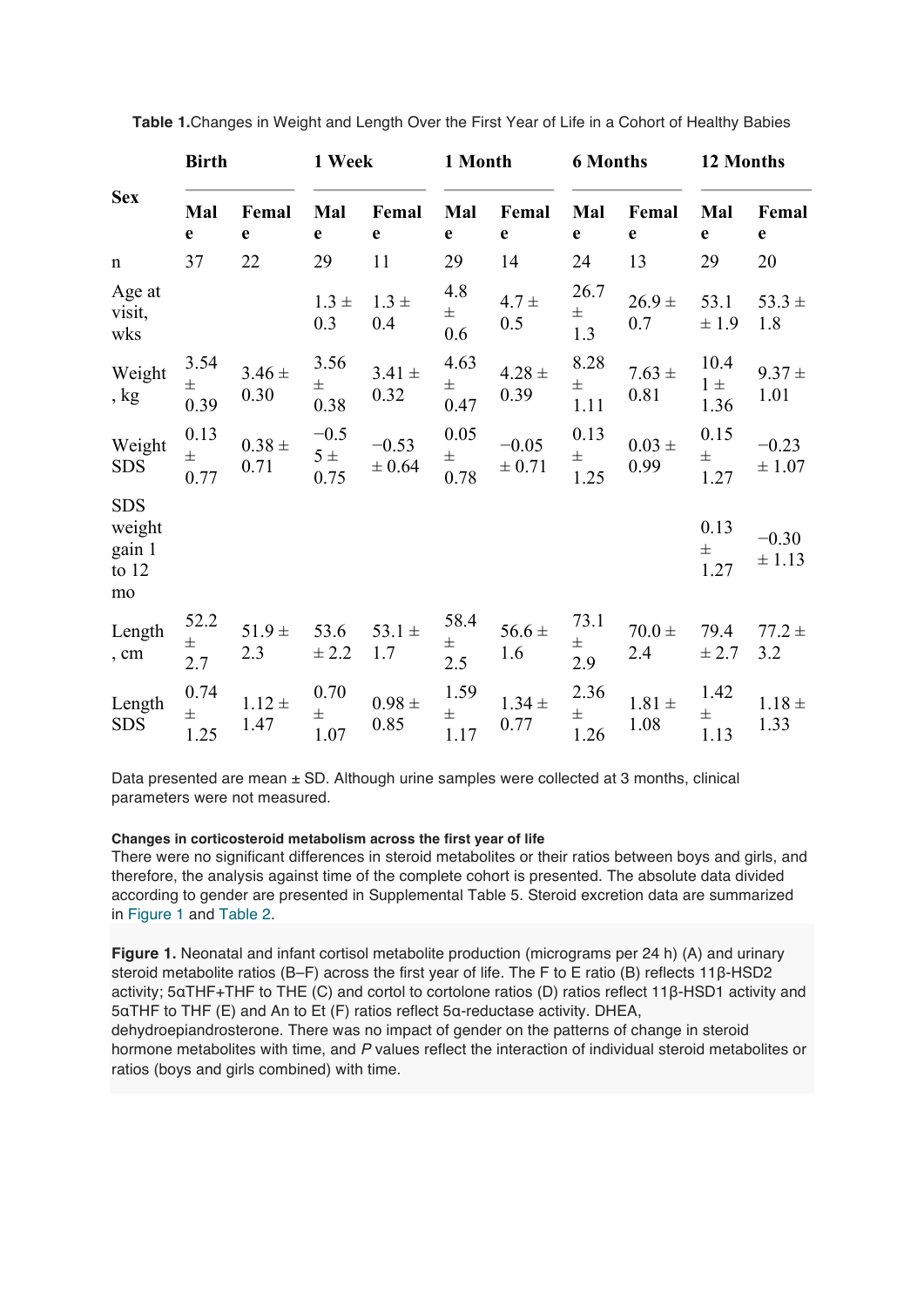|                                                 | <b>Birth</b>          |                    | 1 Week                |                       | 1 Month               |                       | <b>6 Months</b>       |                    | 12 Months               |                       |
|-------------------------------------------------|-----------------------|--------------------|-----------------------|-----------------------|-----------------------|-----------------------|-----------------------|--------------------|-------------------------|-----------------------|
| <b>Sex</b>                                      | Mal<br>$\mathbf e$    | Femal<br>e         | Mal<br>e              | Femal<br>$\mathbf e$  | Mal<br>e              | Femal<br>e            | Mal<br>$\mathbf e$    | Femal<br>e         | Mal<br>e                | Femal<br>$\mathbf e$  |
| $\mathbf n$                                     | 37                    | 22                 | 29                    | 11                    | 29                    | 14                    | 24                    | 13                 | 29                      | 20                    |
| Age at<br>visit,<br>wks                         |                       |                    | $1.3 \pm$<br>0.3      | $1.3 \pm$<br>0.4      | 4.8<br>$\pm$<br>0.6   | $4.7 +$<br>0.5        | 26.7<br>$\pm$<br>1.3  | $26.9 +$<br>0.7    | 53.1<br>±1.9            | $53.3 \pm$<br>1.8     |
| Weight<br>, kg                                  | 3.54<br>$\pm$<br>0.39 | $3.46 \pm$<br>0.30 | 3.56<br>$\pm$<br>0.38 | $3.41 \pm$<br>0.32    | 4.63<br>$\pm$<br>0.47 | $4.28 \pm$<br>0.39    | 8.28<br>$\pm$<br>1.11 | $7.63 \pm$<br>0.81 | 10.4<br>$1 \pm$<br>1.36 | $9.37 \pm$<br>1.01    |
| Weight<br><b>SDS</b>                            | 0.13<br>$\pm$<br>0.77 | $0.38 \pm$<br>0.71 | $-0.5$<br>5 ±<br>0.75 | $-0.53$<br>$\pm 0.64$ | 0.05<br>$\pm$<br>0.78 | $-0.05$<br>$\pm 0.71$ | 0.13<br>$\pm$<br>1.25 | $0.03 \pm$<br>0.99 | 0.15<br>$\pm$<br>1.27   | $-0.23$<br>± 1.07     |
| <b>SDS</b><br>weight<br>gain 1<br>to $12$<br>mo |                       |                    |                       |                       |                       |                       |                       |                    | 0.13<br>$\pm$<br>1.27   | $-0.30$<br>$\pm$ 1.13 |
| Length<br>, cm                                  | 52.2<br>$\pm$<br>2.7  | $51.9 \pm$<br>2.3  | 53.6<br>± 2.2         | 53.1 $\pm$<br>1.7     | 58.4<br>$\pm$<br>2.5  | $56.6 \pm$<br>1.6     | 73.1<br>$\pm$<br>2.9  | $70.0 \pm$<br>2.4  | 79.4<br>± 2.7           | $77.2 +$<br>3.2       |
| Length<br><b>SDS</b>                            | 0.74<br>$\pm$<br>1.25 | $1.12 \pm$<br>1.47 | 0.70<br>$\pm$<br>1.07 | $0.98 \pm$<br>0.85    | 1.59<br>$\pm$<br>1.17 | $1.34 \pm$<br>0.77    | 2.36<br>$\pm$<br>1.26 | $1.81 \pm$<br>1.08 | 1.42<br>$\pm$<br>1.13   | $1.18 \pm$<br>1.33    |

**Table 1.**Changes in Weight and Length Over the First Year of Life in a Cohort of Healthy Babies

Data presented are mean  $\pm$  SD. Although urine samples were collected at 3 months, clinical parameters were not measured.

#### **Changes in corticosteroid metabolism across the first year of life**

There were no significant differences in steroid metabolites or their ratios between boys and girls, and therefore, the analysis against time of the complete cohort is presented. The absolute data divided according to gender are presented in Supplemental Table 5. Steroid excretion data are summarized in Figure 1 and Table 2.

**Figure 1.** Neonatal and infant cortisol metabolite production (micrograms per 24 h) (A) and urinary steroid metabolite ratios (B–F) across the first year of life. The F to E ratio (B) reflects 11β-HSD2 activity; 5αTHF+THF to THE (C) and cortol to cortolone ratios (D) ratios reflect 11β-HSD1 activity and 5αTHF to THF (E) and An to Et (F) ratios reflect 5α-reductase activity. DHEA, dehydroepiandrosterone. There was no impact of gender on the patterns of change in steroid hormone metabolites with time, and *P* values reflect the interaction of individual steroid metabolites or ratios (boys and girls combined) with time.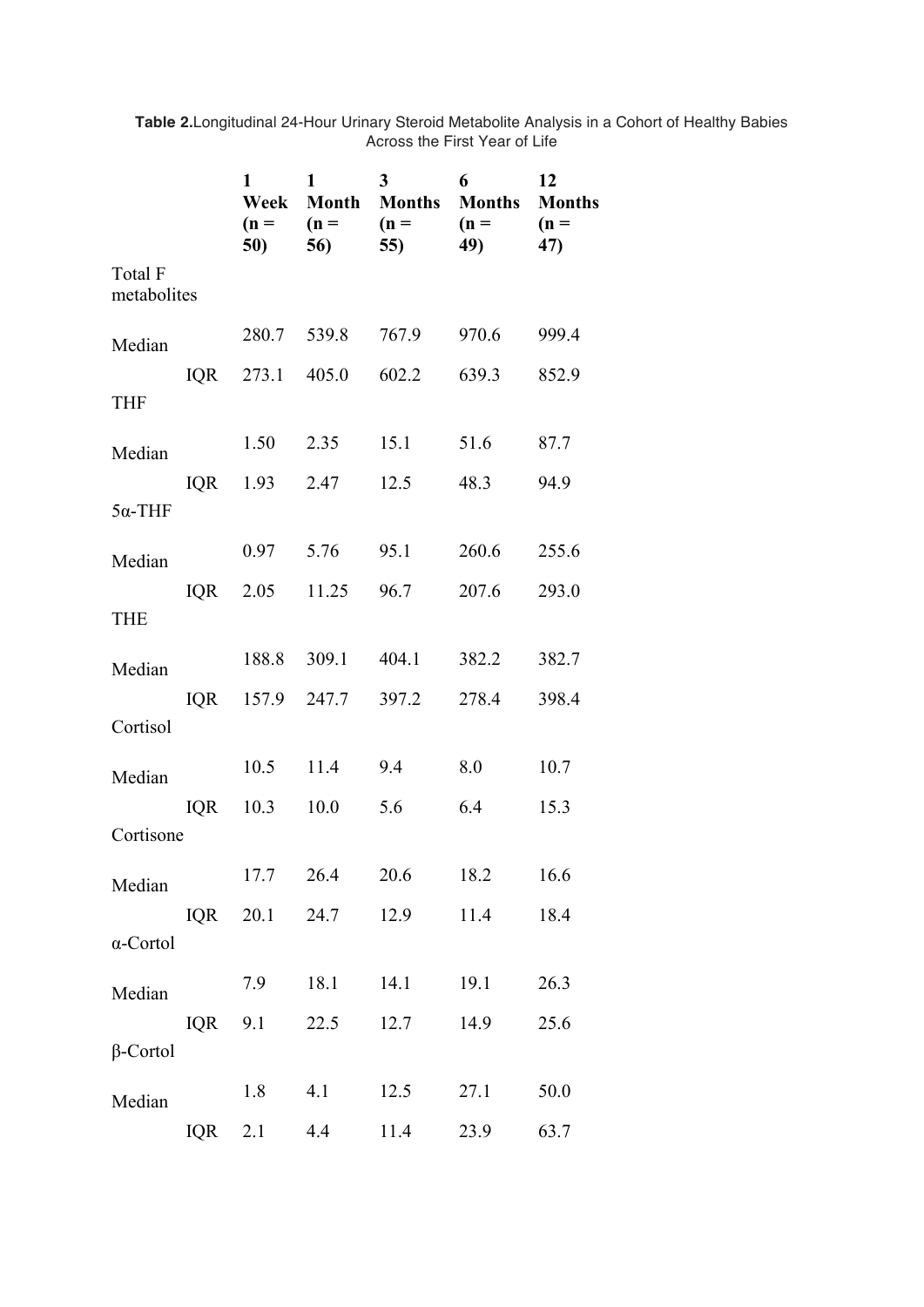|                        |            | 1<br>Week<br>$(n =$<br>50) | 1<br>$(n =$<br>56) | $\overline{3}$<br><b>Month Months</b><br>$(n =$<br>55) | 6<br><b>Months</b><br>$(n =$<br>49) | 12<br><b>Months</b><br>$(n =$<br>47) |
|------------------------|------------|----------------------------|--------------------|--------------------------------------------------------|-------------------------------------|--------------------------------------|
| Total F<br>metabolites |            |                            |                    |                                                        |                                     |                                      |
| Median                 |            | 280.7                      | 539.8              | 767.9                                                  | 970.6                               | 999.4                                |
| <b>THF</b>             | IQR        | 273.1 405.0                |                    | 602.2                                                  | 639.3                               | 852.9                                |
| Median                 |            | 1.50                       | 2.35               | 15.1                                                   | 51.6                                | 87.7                                 |
| $5\alpha$ -THF         | <b>IQR</b> | 1.93                       | 2.47               | 12.5                                                   | 48.3                                | 94.9                                 |
| Median                 |            | 0.97                       | 5.76               | 95.1                                                   | 260.6                               | 255.6                                |
| <b>THE</b>             | IQR        | 2.05                       | 11.25              | 96.7                                                   | 207.6                               | 293.0                                |
| Median                 |            | 188.8                      | 309.1              | 404.1                                                  | 382.2                               | 382.7                                |
| Cortisol               | IQR        |                            | 157.9 247.7        | 397.2                                                  | 278.4                               | 398.4                                |
| Median                 |            | 10.5                       | 11.4               | 9.4                                                    | 8.0                                 | 10.7                                 |
| Cortisone              | IQR        | 10.3                       | 10.0               | 5.6                                                    | 6.4                                 | 15.3                                 |
|                        |            | 17.7                       | 26.4               | 20.6                                                   | 18.2                                | 16.6                                 |
| Median                 | IQR        | 20.1                       | 24.7               | 12.9                                                   | 11.4                                | 18.4                                 |
| $\alpha$ -Cortol       |            |                            |                    |                                                        |                                     |                                      |
| Median                 |            | 7.9                        | 18.1               | 14.1                                                   | 19.1                                | 26.3                                 |
| $\beta$ -Cortol        | <b>IQR</b> | 9.1                        | 22.5               | 12.7                                                   | 14.9                                | 25.6                                 |
| Median                 |            | 1.8                        | 4.1                | 12.5                                                   | 27.1                                | 50.0                                 |
|                        | IQR        | 2.1                        | 4.4                | 11.4                                                   | 23.9                                | 63.7                                 |

**Table 2.**Longitudinal 24-Hour Urinary Steroid Metabolite Analysis in a Cohort of Healthy Babies Across the First Year of Life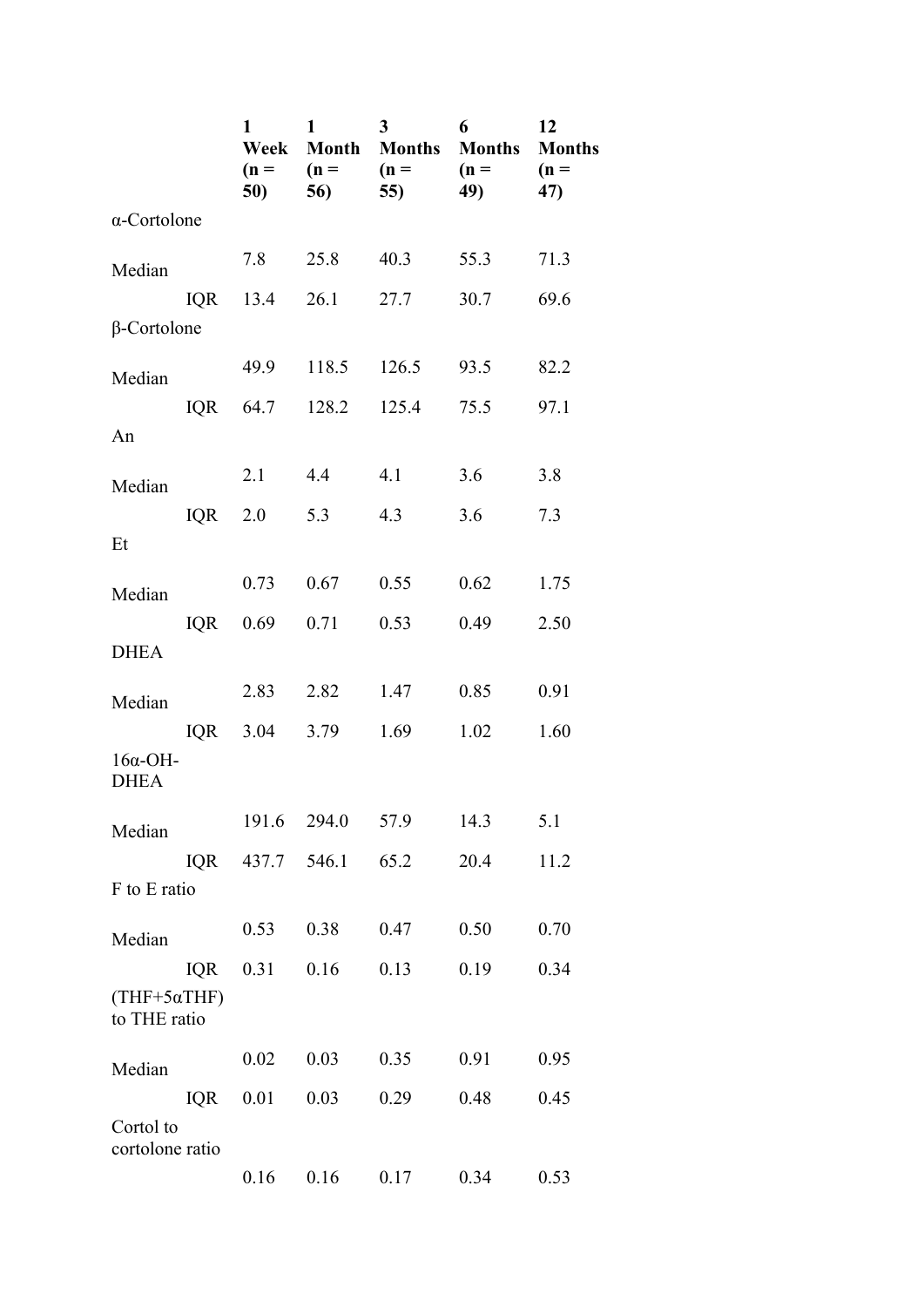|                                     |            | 1<br>Week<br>$(n =$<br>50) | 1<br><b>Month</b><br>$(n =$<br>56) | 3<br><b>Months</b><br>$(n =$<br>55) | 6<br><b>Months</b><br>$(n =$<br>49) | 12<br><b>Months</b><br>$(n =$<br>47) |
|-------------------------------------|------------|----------------------------|------------------------------------|-------------------------------------|-------------------------------------|--------------------------------------|
| $\alpha$ -Cortolone                 |            |                            |                                    |                                     |                                     |                                      |
| Median                              |            | 7.8                        | 25.8                               | 40.3                                | 55.3                                | 71.3                                 |
|                                     | <b>IQR</b> | 13.4                       | 26.1                               | 27.7                                | 30.7                                | 69.6                                 |
| $\beta$ -Cortolone                  |            |                            |                                    |                                     |                                     |                                      |
| Median                              |            | 49.9                       | 118.5                              | 126.5                               | 93.5                                | 82.2                                 |
| An                                  | IQR        | 64.7                       | 128.2                              | 125.4                               | 75.5                                | 97.1                                 |
| Median                              |            | 2.1                        | 4.4                                | 4.1                                 | 3.6                                 | 3.8                                  |
|                                     | <b>IQR</b> | 2.0                        | 5.3                                | 4.3                                 | 3.6                                 | 7.3                                  |
| Et                                  |            |                            |                                    |                                     |                                     |                                      |
| Median                              |            | 0.73                       | 0.67                               | 0.55                                | 0.62                                | 1.75                                 |
| <b>DHEA</b>                         | <b>IQR</b> | 0.69                       | 0.71                               | 0.53                                | 0.49                                | 2.50                                 |
| Median                              |            | 2.83                       | 2.82                               | 1.47                                | 0.85                                | 0.91                                 |
|                                     | <b>IQR</b> | 3.04                       | 3.79                               | 1.69                                | 1.02                                | 1.60                                 |
| $16\alpha$ -OH-<br><b>DHEA</b>      |            |                            |                                    |                                     |                                     |                                      |
| Median                              |            | 191.6                      | 294.0                              | 57.9                                | 14.3                                | 5.1                                  |
|                                     | IQR        | 437.7                      | 546.1                              | 65.2                                | 20.4                                | 11.2                                 |
| F to E ratio                        |            |                            |                                    |                                     |                                     |                                      |
| Median                              |            | 0.53                       | 0.38                               | 0.47                                | 0.50                                | 0.70                                 |
|                                     | <b>IQR</b> | 0.31                       | 0.16                               | 0.13                                | 0.19                                | 0.34                                 |
| $(THF+5\alpha THF)$<br>to THE ratio |            |                            |                                    |                                     |                                     |                                      |
| Median                              |            | 0.02                       | 0.03                               | 0.35                                | 0.91                                | 0.95                                 |
|                                     | <b>IQR</b> | 0.01                       | 0.03                               | 0.29                                | 0.48                                | 0.45                                 |
| Cortol to<br>cortolone ratio        |            |                            |                                    |                                     |                                     |                                      |
|                                     |            | 0.16                       | 0.16                               | 0.17                                | 0.34                                | 0.53                                 |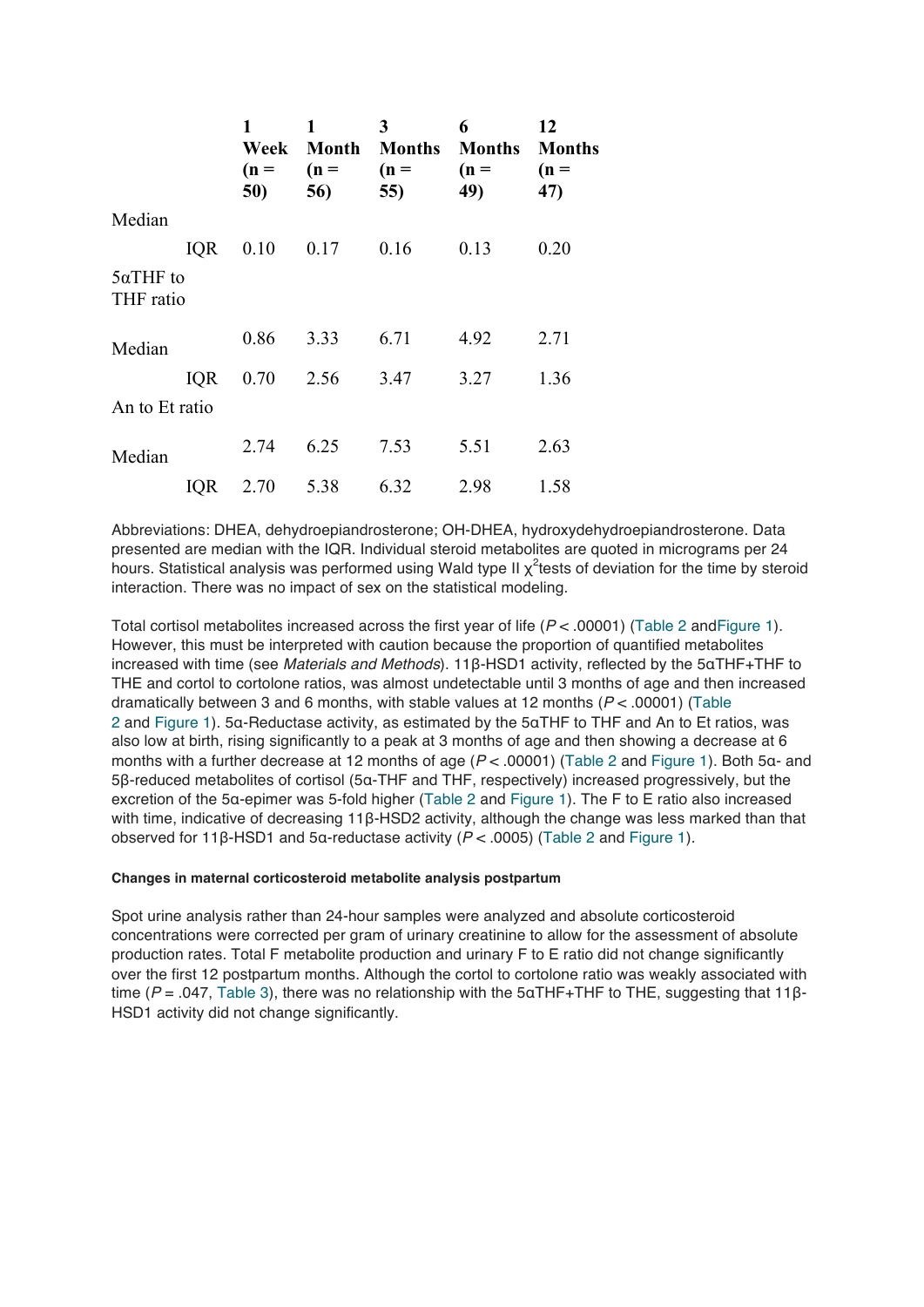|                               |            | 1<br>Week<br>$(n =$<br>50) | 1<br>Month<br>$(n =$<br>56) | 3<br><b>Months</b><br>$(n =$<br>55) | 6<br><b>Months</b><br>$(n =$<br>49) | 12<br><b>Months</b><br>$(n =$<br>47) |
|-------------------------------|------------|----------------------------|-----------------------------|-------------------------------------|-------------------------------------|--------------------------------------|
| Median                        |            |                            |                             |                                     |                                     |                                      |
|                               | <b>IQR</b> | 0.10                       | 0.17                        | 0.16                                | 0.13                                | 0.20                                 |
| $5\alpha$ THF to<br>THF ratio |            |                            |                             |                                     |                                     |                                      |
| Median                        |            | 0.86                       | 3.33                        | 6.71                                | 4.92                                | 2.71                                 |
|                               | <b>IQR</b> | 0.70                       | 2.56                        | 3.47                                | 3.27                                | 1.36                                 |
| An to Et ratio                |            |                            |                             |                                     |                                     |                                      |
| Median                        |            | 2.74                       | 6.25                        | 7.53                                | 5.51                                | 2.63                                 |
|                               | <b>IQR</b> | 2.70                       | 5.38                        | 6.32                                | 2.98                                | 1.58                                 |

Abbreviations: DHEA, dehydroepiandrosterone; OH-DHEA, hydroxydehydroepiandrosterone. Data presented are median with the IQR. Individual steroid metabolites are quoted in micrograms per 24 hours. Statistical analysis was performed using Wald type II  $\chi^2$ tests of deviation for the time by steroid interaction. There was no impact of sex on the statistical modeling.

Total cortisol metabolites increased across the first year of life (*P* < .00001) (Table 2 andFigure 1). However, this must be interpreted with caution because the proportion of quantified metabolites increased with time (see *Materials and Methods*). 11β-HSD1 activity, reflected by the 5αTHF+THF to THE and cortol to cortolone ratios, was almost undetectable until 3 months of age and then increased dramatically between 3 and 6 months, with stable values at 12 months (*P* < .00001) (Table 2 and Figure 1). 5α-Reductase activity, as estimated by the 5αTHF to THF and An to Et ratios, was also low at birth, rising significantly to a peak at 3 months of age and then showing a decrease at 6 months with a further decrease at 12 months of age ( $P <$  .00001) (Table 2 and Figure 1). Both 5α- and 5β-reduced metabolites of cortisol (5α-THF and THF, respectively) increased progressively, but the excretion of the 5α-epimer was 5-fold higher (Table 2 and Figure 1). The F to E ratio also increased with time, indicative of decreasing 11β-HSD2 activity, although the change was less marked than that observed for 11β-HSD1 and 5α-reductase activity (*P* < .0005) (Table 2 and Figure 1).

#### **Changes in maternal corticosteroid metabolite analysis postpartum**

Spot urine analysis rather than 24-hour samples were analyzed and absolute corticosteroid concentrations were corrected per gram of urinary creatinine to allow for the assessment of absolute production rates. Total F metabolite production and urinary F to E ratio did not change significantly over the first 12 postpartum months. Although the cortol to cortolone ratio was weakly associated with time (*P* = .047, Table 3), there was no relationship with the 5αTHF+THF to THE, suggesting that 11β-HSD1 activity did not change significantly.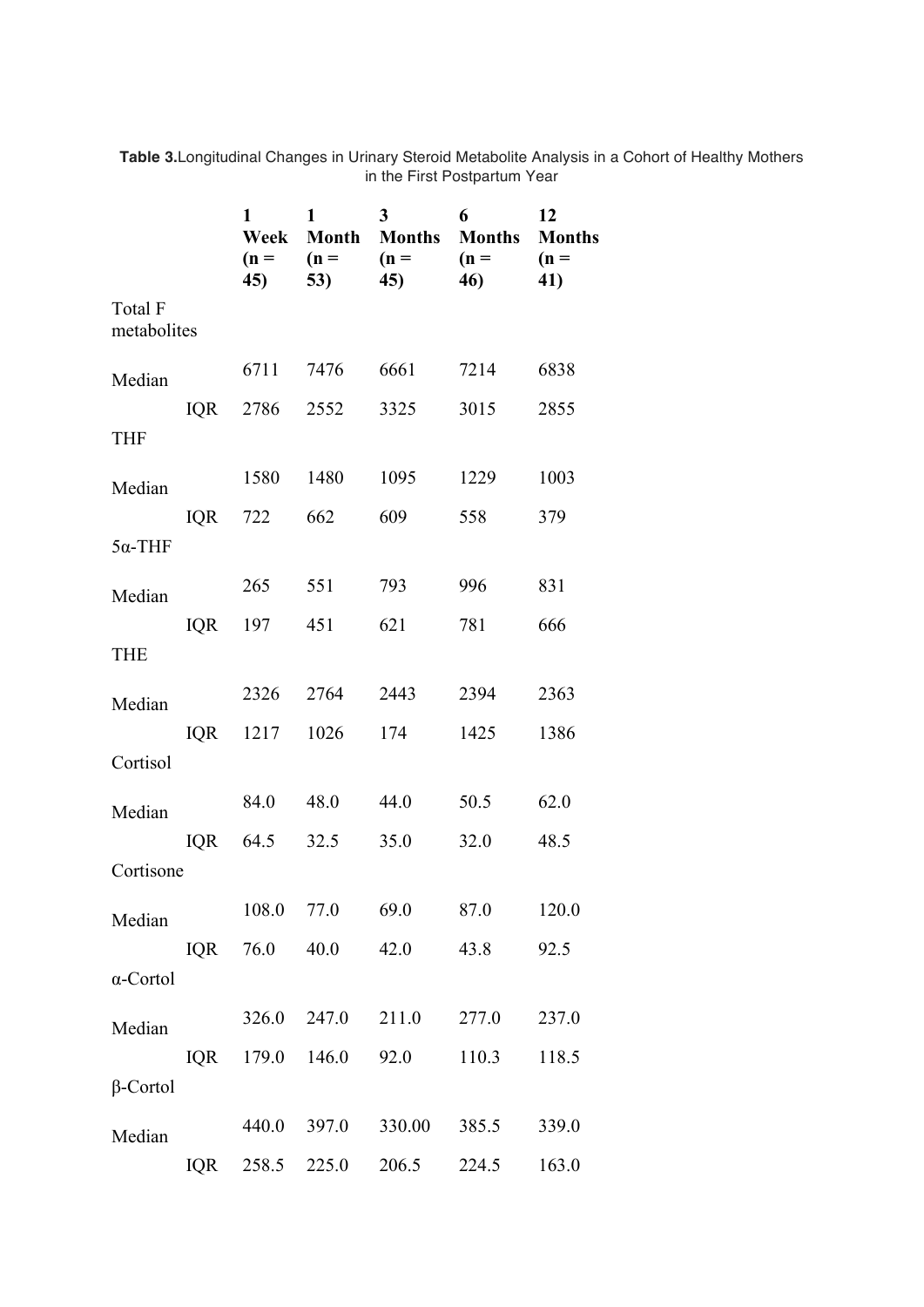|                        |            | 1<br>Week<br>$(n =$<br>45) | $\mathbf{1}$<br><b>Month</b><br>$(n =$<br>53) | 3<br><b>Months</b><br>$(n =$<br>45) | 6<br><b>Months</b><br>$(n =$<br>46) | 12<br><b>Months</b><br>$(n =$<br>41) |
|------------------------|------------|----------------------------|-----------------------------------------------|-------------------------------------|-------------------------------------|--------------------------------------|
| Total F<br>metabolites |            |                            |                                               |                                     |                                     |                                      |
| Median                 |            | 6711                       | 7476                                          | 6661                                | 7214                                | 6838                                 |
| <b>THF</b>             | IQR        | 2786                       | 2552                                          | 3325                                | 3015                                | 2855                                 |
| Median                 |            | 1580                       | 1480                                          | 1095                                | 1229                                | 1003                                 |
| $5\alpha$ -THF         | <b>IQR</b> | 722                        | 662                                           | 609                                 | 558                                 | 379                                  |
| Median                 |            | 265                        | 551                                           | 793                                 | 996                                 | 831                                  |
| <b>THE</b>             | IQR        | 197                        | 451                                           | 621                                 | 781                                 | 666                                  |
| Median                 |            | 2326                       | 2764                                          | 2443                                | 2394                                | 2363                                 |
|                        | <b>IQR</b> | 1217                       | 1026                                          | 174                                 | 1425                                | 1386                                 |
| Cortisol               |            |                            |                                               |                                     |                                     |                                      |
| Median                 |            | 84.0                       | 48.0                                          | 44.0                                | 50.5                                | 62.0                                 |
| Cortisone              | <b>IQR</b> | 64.5                       | 32.5                                          | 35.0                                | 32.0                                | 48.5                                 |
|                        |            | 108.0                      | 77.0                                          | 69.0                                | 87.0                                | 120.0                                |
| Median                 | <b>IQR</b> | 76.0                       | 40.0                                          | 42.0                                | 43.8                                | 92.5                                 |
| $\alpha$ -Cortol       |            |                            |                                               |                                     |                                     |                                      |
| Median                 |            | 326.0                      | 247.0                                         | 211.0                               | 277.0                               | 237.0                                |
|                        | IQR        | 179.0                      | 146.0                                         | 92.0                                | 110.3                               | 118.5                                |
| $\beta$ -Cortol        |            |                            |                                               |                                     |                                     |                                      |
| Median                 |            | 440.0                      | 397.0                                         | 330.00                              | 385.5                               | 339.0                                |
|                        | IQR        | 258.5                      | 225.0                                         | 206.5                               | 224.5                               | 163.0                                |

**Table 3.**Longitudinal Changes in Urinary Steroid Metabolite Analysis in a Cohort of Healthy Mothers in the First Postpartum Year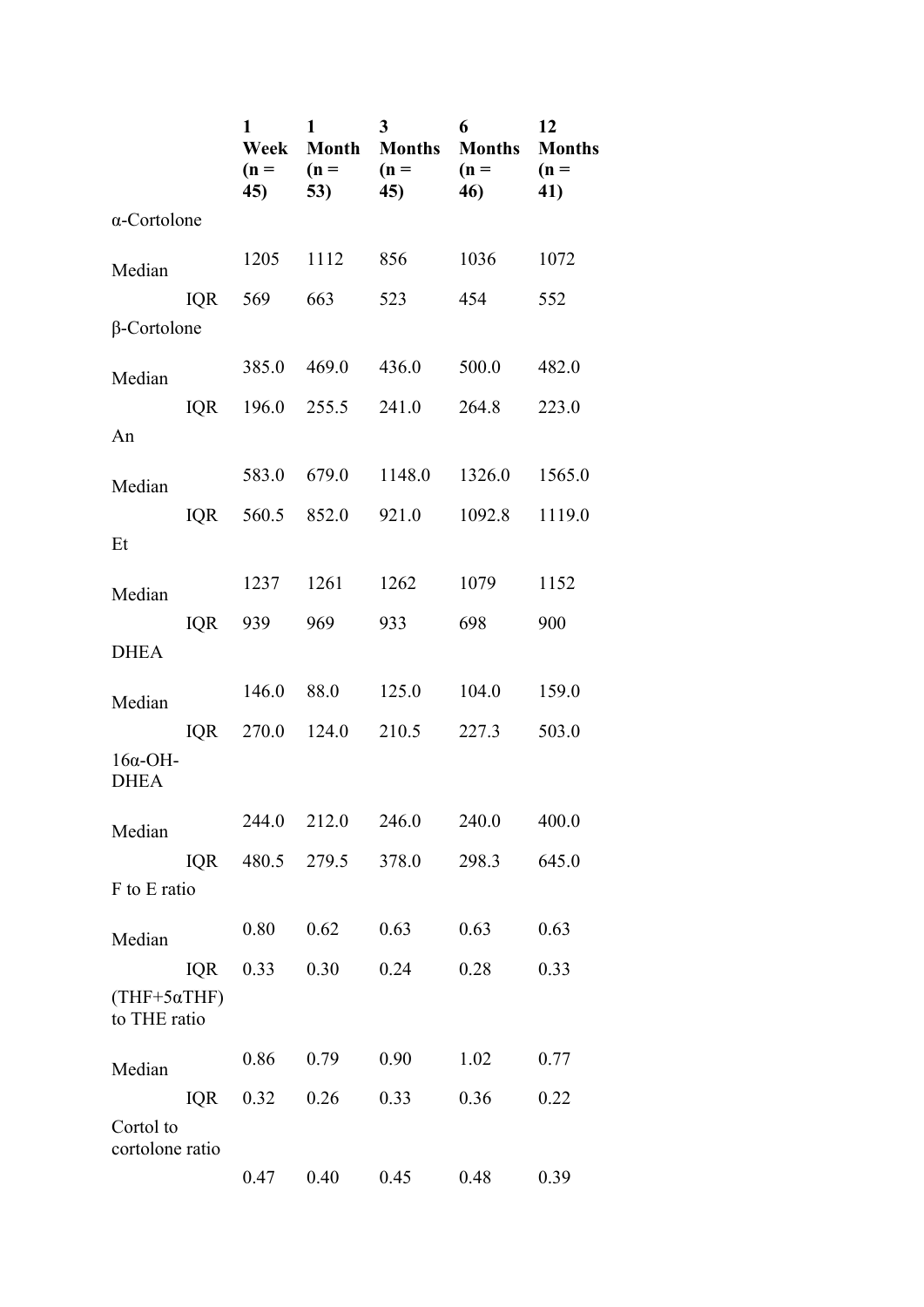|                                |                                     | 1<br>Week<br>$(n =$<br>45) | 1<br>$(n =$<br>53) | 3<br><b>Month Months</b><br>$(n =$<br>45) | 6<br><b>Months</b><br>$(n =$<br>46) | 12<br><b>Months</b><br>$(n =$<br>41) |
|--------------------------------|-------------------------------------|----------------------------|--------------------|-------------------------------------------|-------------------------------------|--------------------------------------|
| $\alpha$ -Cortolone            |                                     |                            |                    |                                           |                                     |                                      |
| Median                         |                                     | 1205                       | 1112               | 856                                       | 1036                                | 1072                                 |
| $\beta$ -Cortolone             | IQR                                 | 569                        | 663                | 523                                       | 454                                 | 552                                  |
|                                |                                     | 385.0                      | 469.0              | 436.0                                     | 500.0                               | 482.0                                |
| Median                         |                                     |                            |                    |                                           |                                     |                                      |
| An                             | IQR                                 |                            | 196.0 255.5        | 241.0                                     | 264.8                               | 223.0                                |
| Median                         |                                     | 583.0                      | 679.0              | 1148.0                                    | 1326.0                              | 1565.0                               |
| Et                             | IQR                                 | 560.5                      | 852.0              | 921.0                                     | 1092.8                              | 1119.0                               |
|                                |                                     |                            |                    |                                           |                                     |                                      |
| Median                         |                                     | 1237                       | 1261               | 1262                                      | 1079                                | 1152                                 |
| <b>DHEA</b>                    | IQR                                 | 939                        | 969                | 933                                       | 698                                 | 900                                  |
| Median                         |                                     | 146.0                      | 88.0               | 125.0                                     | 104.0                               | 159.0                                |
|                                |                                     |                            | IQR 270.0 124.0    | 210.5                                     | 227.3                               | 503.0                                |
| $16\alpha$ -OH-<br><b>DHEA</b> |                                     |                            |                    |                                           |                                     |                                      |
| Median                         |                                     | 244.0                      | 212.0              | 246.0                                     | 240.0                               | 400.0                                |
|                                | IQR                                 |                            | 480.5 279.5        | 378.0                                     | 298.3                               | 645.0                                |
| F to E ratio                   |                                     |                            |                    |                                           |                                     |                                      |
| Median                         |                                     | 0.80                       | 0.62               | 0.63                                      | 0.63                                | 0.63                                 |
|                                | <b>IQR</b>                          | 0.33                       | 0.30               | 0.24                                      | 0.28                                | 0.33                                 |
|                                | $(THF+5\alpha THF)$<br>to THE ratio |                            |                    |                                           |                                     |                                      |
| Median                         |                                     | 0.86                       | 0.79               | 0.90                                      | 1.02                                | 0.77                                 |
|                                | <b>IQR</b>                          | 0.32                       | 0.26               | 0.33                                      | 0.36                                | 0.22                                 |
| Cortol to<br>cortolone ratio   |                                     |                            |                    |                                           |                                     |                                      |
|                                |                                     | 0.47                       | 0.40               | 0.45                                      | 0.48                                | 0.39                                 |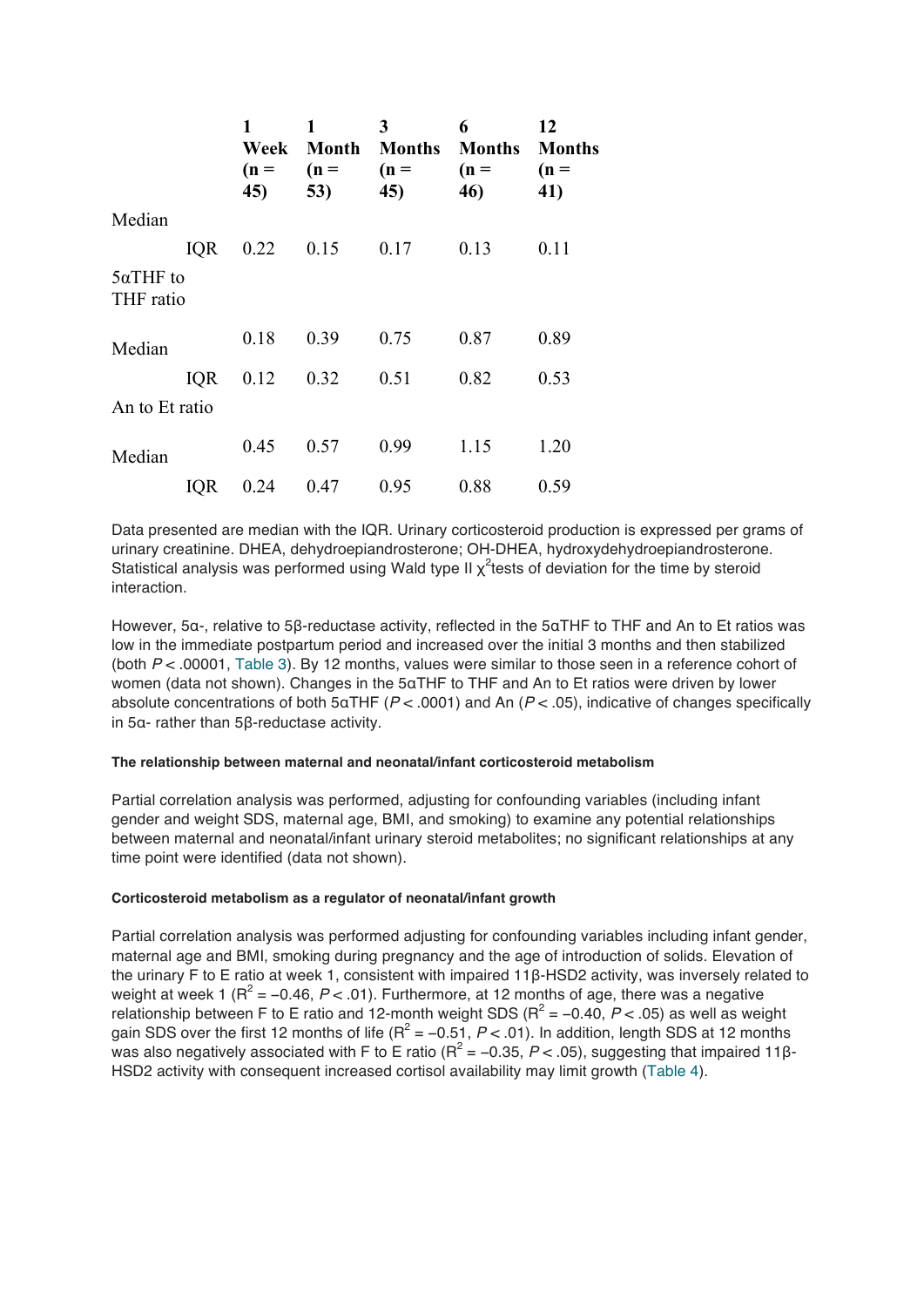|                               |            | 1<br>Week<br>$(n =$<br>45) | 1<br><b>Month</b><br>$(n =$<br>53) | 3<br><b>Months</b><br>$(n =$<br>45) | 6<br><b>Months</b><br>$(n =$<br>46) | 12<br><b>Months</b><br>$(n =$<br>41) |
|-------------------------------|------------|----------------------------|------------------------------------|-------------------------------------|-------------------------------------|--------------------------------------|
| Median                        |            |                            |                                    |                                     |                                     |                                      |
|                               | <b>IQR</b> | 0.22                       | 0.15                               | 0.17                                | 0.13                                | 0.11                                 |
| $5\alpha$ THF to<br>THF ratio |            |                            |                                    |                                     |                                     |                                      |
| Median                        |            | 0.18                       | 0.39                               | 0.75                                | 0.87                                | 0.89                                 |
|                               | <b>IQR</b> | 0.12                       | 0.32                               | 0.51                                | 0.82                                | 0.53                                 |
| An to Et ratio                |            |                            |                                    |                                     |                                     |                                      |
| Median                        |            | 0.45                       | 0.57                               | 0.99                                | 1.15                                | 1.20                                 |
|                               | IQR        | 0.24                       | 0.47                               | 0.95                                | 0.88                                | 0.59                                 |

Data presented are median with the IQR. Urinary corticosteroid production is expressed per grams of urinary creatinine. DHEA, dehydroepiandrosterone; OH-DHEA, hydroxydehydroepiandrosterone. Statistical analysis was performed using Wald type II  $\chi^2$ tests of deviation for the time by steroid interaction.

However, 5α-, relative to 5β-reductase activity, reflected in the 5αTHF to THF and An to Et ratios was low in the immediate postpartum period and increased over the initial 3 months and then stabilized (both *P* < .00001, Table 3). By 12 months, values were similar to those seen in a reference cohort of women (data not shown). Changes in the 5αTHF to THF and An to Et ratios were driven by lower absolute concentrations of both 5αTHF (*P* < .0001) and An (*P* < .05), indicative of changes specifically in 5α- rather than 5β-reductase activity.

#### **The relationship between maternal and neonatal/infant corticosteroid metabolism**

Partial correlation analysis was performed, adjusting for confounding variables (including infant gender and weight SDS, maternal age, BMI, and smoking) to examine any potential relationships between maternal and neonatal/infant urinary steroid metabolites; no significant relationships at any time point were identified (data not shown).

# **Corticosteroid metabolism as a regulator of neonatal/infant growth**

Partial correlation analysis was performed adjusting for confounding variables including infant gender, maternal age and BMI, smoking during pregnancy and the age of introduction of solids. Elevation of the urinary F to E ratio at week 1, consistent with impaired 11β-HSD2 activity, was inversely related to weight at week 1 ( $R^2$  = -0.46,  $P$  < .01). Furthermore, at 12 months of age, there was a negative relationship between F to E ratio and 12-month weight SDS ( $R^2$  = -0.40,  $P$  < .05) as well as weight gain SDS over the first 12 months of life  $(R^2 = -0.51, P < .01)$ . In addition, length SDS at 12 months was also negatively associated with F to E ratio ( $R^2$  = -0.35,  $P$  < .05), suggesting that impaired 11 $\beta$ -HSD2 activity with consequent increased cortisol availability may limit growth (Table 4).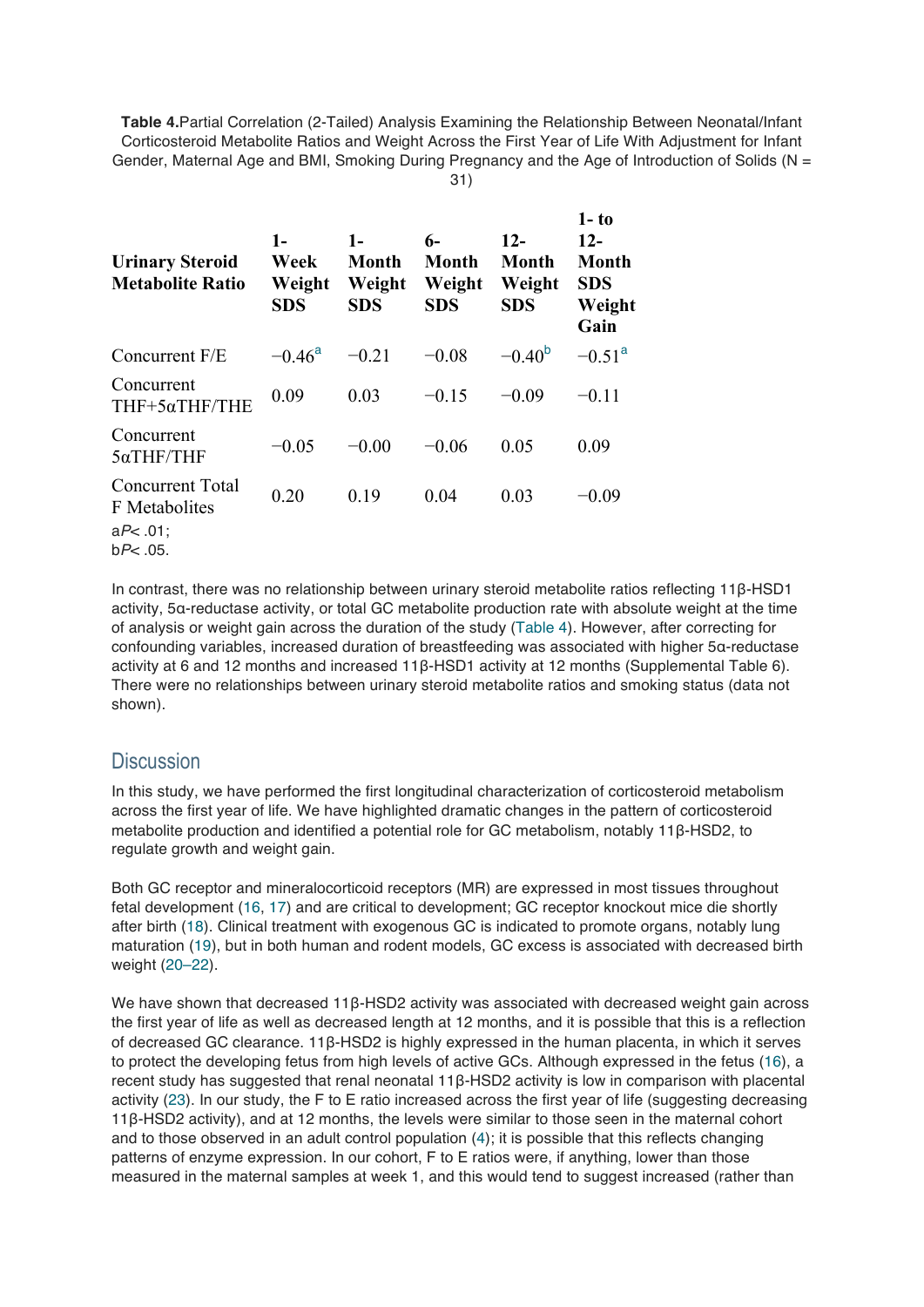**Table 4.**Partial Correlation (2-Tailed) Analysis Examining the Relationship Between Neonatal/Infant Corticosteroid Metabolite Ratios and Weight Across the First Year of Life With Adjustment for Infant Gender, Maternal Age and BMI, Smoking During Pregnancy and the Age of Introduction of Solids (N =

31)

| <b>Urinary Steroid</b><br><b>Metabolite Ratio</b> | $1-$<br>Week<br>Weight<br><b>SDS</b> | $1-$<br>Month<br>Weight<br><b>SDS</b> | 6-<br>Month<br>Weight<br><b>SDS</b> | $12-$<br><b>Month</b><br>Weight<br><b>SDS</b> | $1 - t_0$<br>$12-$<br><b>Month</b><br><b>SDS</b><br>Weight<br>Gain |
|---------------------------------------------------|--------------------------------------|---------------------------------------|-------------------------------------|-----------------------------------------------|--------------------------------------------------------------------|
| Concurrent F/E                                    | $-0.46^{\rm a}$                      | $-0.21$                               | $-0.08$                             | $-0.40^{b}$                                   | $-0.51$ <sup>a</sup>                                               |
| Concurrent<br>THF+5αTHF/THE                       | 0.09                                 | 0.03                                  | $-0.15$                             | $-0.09$                                       | $-0.11$                                                            |
| Concurrent<br>$5\alpha$ THF/THF                   | $-0.05$                              | $-0.00$                               | $-0.06$                             | 0.05                                          | 0.09                                                               |
| <b>Concurrent Total</b><br>F Metabolites          | 0.20                                 | 0.19                                  | 0.04                                | 0.03                                          | $-0.09$                                                            |
| $aP<.01$ ;<br>$bP<.05$ .                          |                                      |                                       |                                     |                                               |                                                                    |

In contrast, there was no relationship between urinary steroid metabolite ratios reflecting 11β-HSD1 activity, 5α-reductase activity, or total GC metabolite production rate with absolute weight at the time of analysis or weight gain across the duration of the study (Table 4). However, after correcting for confounding variables, increased duration of breastfeeding was associated with higher 5α-reductase activity at 6 and 12 months and increased 11β-HSD1 activity at 12 months (Supplemental Table 6). There were no relationships between urinary steroid metabolite ratios and smoking status (data not shown).

# **Discussion**

In this study, we have performed the first longitudinal characterization of corticosteroid metabolism across the first year of life. We have highlighted dramatic changes in the pattern of corticosteroid metabolite production and identified a potential role for GC metabolism, notably 11β-HSD2, to regulate growth and weight gain.

Both GC receptor and mineralocorticoid receptors (MR) are expressed in most tissues throughout fetal development (16, 17) and are critical to development; GC receptor knockout mice die shortly after birth (18). Clinical treatment with exogenous GC is indicated to promote organs, notably lung maturation (19), but in both human and rodent models, GC excess is associated with decreased birth weight (20–22).

We have shown that decreased 11β-HSD2 activity was associated with decreased weight gain across the first year of life as well as decreased length at 12 months, and it is possible that this is a reflection of decreased GC clearance. 11β-HSD2 is highly expressed in the human placenta, in which it serves to protect the developing fetus from high levels of active GCs. Although expressed in the fetus (16), a recent study has suggested that renal neonatal 11β-HSD2 activity is low in comparison with placental activity (23). In our study, the F to E ratio increased across the first year of life (suggesting decreasing 11β-HSD2 activity), and at 12 months, the levels were similar to those seen in the maternal cohort and to those observed in an adult control population (4); it is possible that this reflects changing patterns of enzyme expression. In our cohort, F to E ratios were, if anything, lower than those measured in the maternal samples at week 1, and this would tend to suggest increased (rather than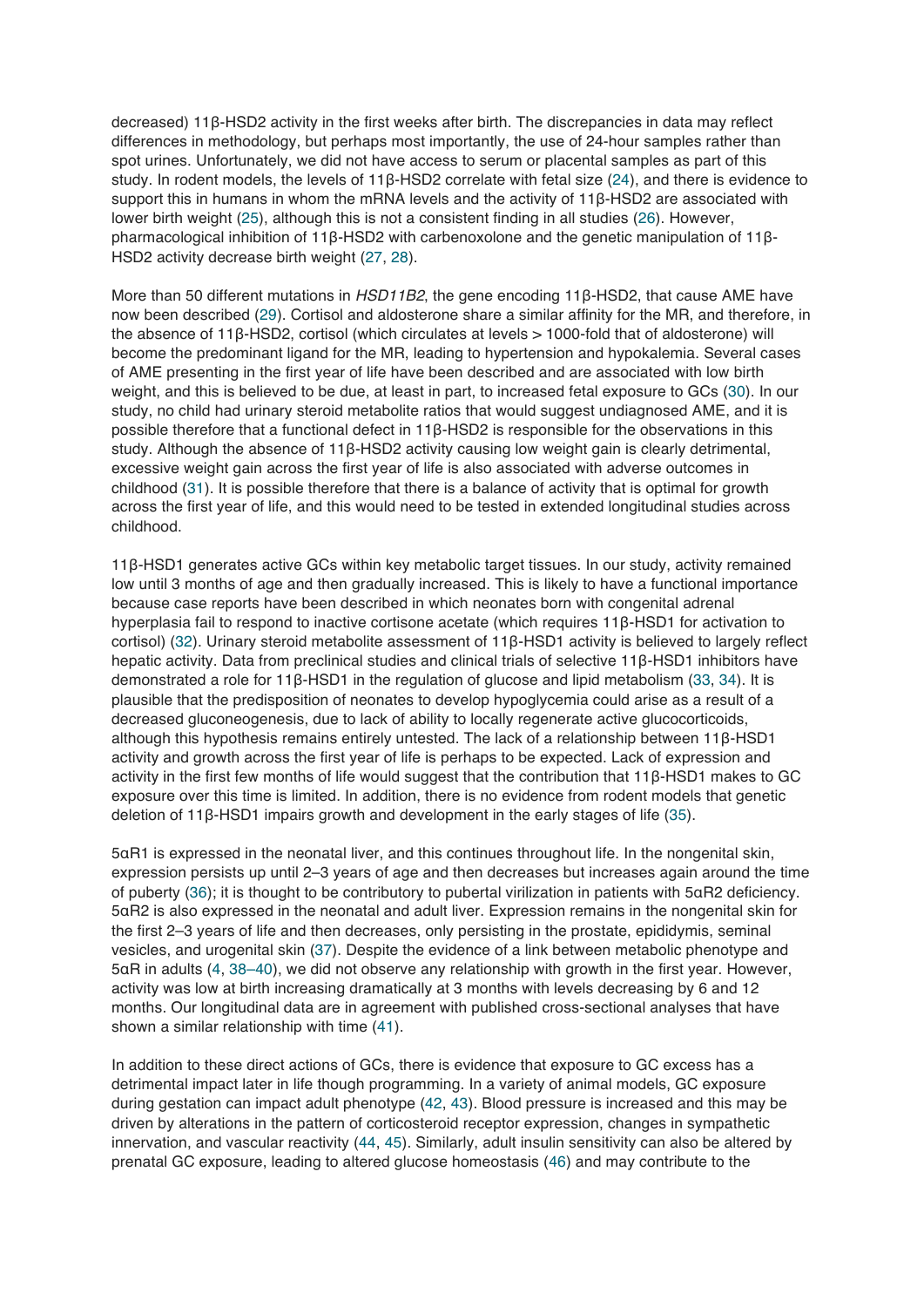decreased) 11β-HSD2 activity in the first weeks after birth. The discrepancies in data may reflect differences in methodology, but perhaps most importantly, the use of 24-hour samples rather than spot urines. Unfortunately, we did not have access to serum or placental samples as part of this study. In rodent models, the levels of 11β-HSD2 correlate with fetal size (24), and there is evidence to support this in humans in whom the mRNA levels and the activity of 11β-HSD2 are associated with lower birth weight (25), although this is not a consistent finding in all studies (26). However, pharmacological inhibition of 11β-HSD2 with carbenoxolone and the genetic manipulation of 11β-HSD2 activity decrease birth weight (27, 28).

More than 50 different mutations in *HSD11B2*, the gene encoding 11β-HSD2, that cause AME have now been described (29). Cortisol and aldosterone share a similar affinity for the MR, and therefore, in the absence of 11β-HSD2, cortisol (which circulates at levels > 1000-fold that of aldosterone) will become the predominant ligand for the MR, leading to hypertension and hypokalemia. Several cases of AME presenting in the first year of life have been described and are associated with low birth weight, and this is believed to be due, at least in part, to increased fetal exposure to GCs (30). In our study, no child had urinary steroid metabolite ratios that would suggest undiagnosed AME, and it is possible therefore that a functional defect in 11β-HSD2 is responsible for the observations in this study. Although the absence of 11β-HSD2 activity causing low weight gain is clearly detrimental, excessive weight gain across the first year of life is also associated with adverse outcomes in childhood (31). It is possible therefore that there is a balance of activity that is optimal for growth across the first year of life, and this would need to be tested in extended longitudinal studies across childhood.

11β-HSD1 generates active GCs within key metabolic target tissues. In our study, activity remained low until 3 months of age and then gradually increased. This is likely to have a functional importance because case reports have been described in which neonates born with congenital adrenal hyperplasia fail to respond to inactive cortisone acetate (which requires 11β-HSD1 for activation to cortisol) (32). Urinary steroid metabolite assessment of 11β-HSD1 activity is believed to largely reflect hepatic activity. Data from preclinical studies and clinical trials of selective 11β-HSD1 inhibitors have demonstrated a role for 11β-HSD1 in the regulation of glucose and lipid metabolism (33, 34). It is plausible that the predisposition of neonates to develop hypoglycemia could arise as a result of a decreased gluconeogenesis, due to lack of ability to locally regenerate active glucocorticoids, although this hypothesis remains entirely untested. The lack of a relationship between 11β-HSD1 activity and growth across the first year of life is perhaps to be expected. Lack of expression and activity in the first few months of life would suggest that the contribution that 11β-HSD1 makes to GC exposure over this time is limited. In addition, there is no evidence from rodent models that genetic deletion of 11β-HSD1 impairs growth and development in the early stages of life (35).

5αR1 is expressed in the neonatal liver, and this continues throughout life. In the nongenital skin, expression persists up until 2–3 years of age and then decreases but increases again around the time of puberty (36); it is thought to be contributory to pubertal virilization in patients with 5αR2 deficiency. 5αR2 is also expressed in the neonatal and adult liver. Expression remains in the nongenital skin for the first 2–3 years of life and then decreases, only persisting in the prostate, epididymis, seminal vesicles, and urogenital skin (37). Despite the evidence of a link between metabolic phenotype and 5αR in adults (4, 38–40), we did not observe any relationship with growth in the first year. However, activity was low at birth increasing dramatically at 3 months with levels decreasing by 6 and 12 months. Our longitudinal data are in agreement with published cross-sectional analyses that have shown a similar relationship with time (41).

In addition to these direct actions of GCs, there is evidence that exposure to GC excess has a detrimental impact later in life though programming. In a variety of animal models, GC exposure during gestation can impact adult phenotype (42, 43). Blood pressure is increased and this may be driven by alterations in the pattern of corticosteroid receptor expression, changes in sympathetic innervation, and vascular reactivity (44, 45). Similarly, adult insulin sensitivity can also be altered by prenatal GC exposure, leading to altered glucose homeostasis (46) and may contribute to the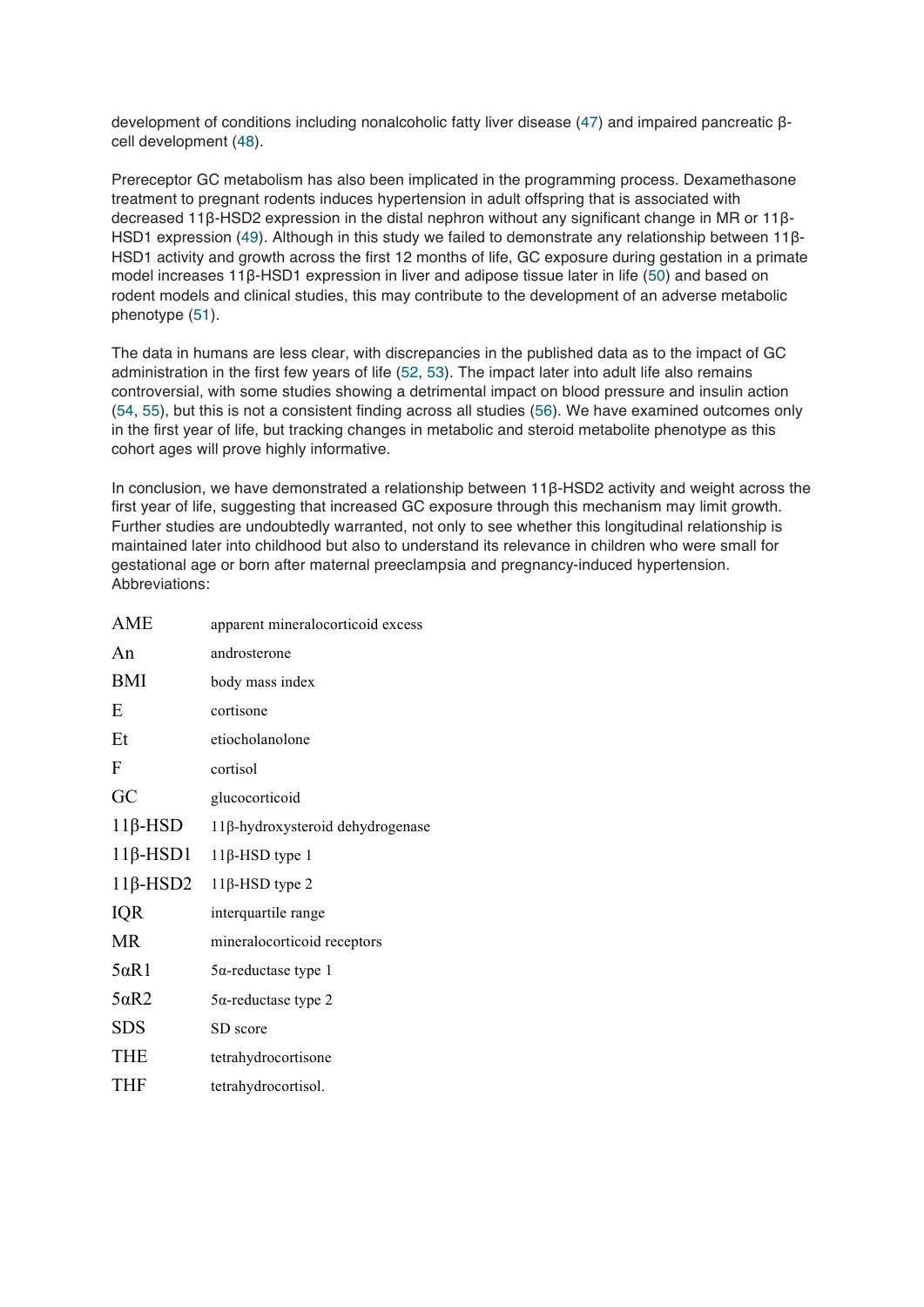development of conditions including nonalcoholic fatty liver disease (47) and impaired pancreatic βcell development (48).

Prereceptor GC metabolism has also been implicated in the programming process. Dexamethasone treatment to pregnant rodents induces hypertension in adult offspring that is associated with decreased 11β-HSD2 expression in the distal nephron without any significant change in MR or 11β-HSD1 expression (49). Although in this study we failed to demonstrate any relationship between 11β-HSD1 activity and growth across the first 12 months of life, GC exposure during gestation in a primate model increases 11β-HSD1 expression in liver and adipose tissue later in life (50) and based on rodent models and clinical studies, this may contribute to the development of an adverse metabolic phenotype (51).

The data in humans are less clear, with discrepancies in the published data as to the impact of GC administration in the first few years of life (52, 53). The impact later into adult life also remains controversial, with some studies showing a detrimental impact on blood pressure and insulin action (54, 55), but this is not a consistent finding across all studies (56). We have examined outcomes only in the first year of life, but tracking changes in metabolic and steroid metabolite phenotype as this cohort ages will prove highly informative.

In conclusion, we have demonstrated a relationship between 11β-HSD2 activity and weight across the first year of life, suggesting that increased GC exposure through this mechanism may limit growth. Further studies are undoubtedly warranted, not only to see whether this longitudinal relationship is maintained later into childhood but also to understand its relevance in children who were small for gestational age or born after maternal preeclampsia and pregnancy-induced hypertension. Abbreviations:

| AME             | apparent mineralocorticoid excess |
|-----------------|-----------------------------------|
| An              | androsterone                      |
| <b>BMI</b>      | body mass index                   |
| E               | cortisone                         |
| Et              | etiocholanolone                   |
| F               | cortisol                          |
| GC              | glucocorticoid                    |
| $11\beta$ -HSD  | 11β-hydroxysteroid dehydrogenase  |
| $11\beta$ -HSD1 | $11\beta$ -HSD type 1             |
| $11\beta$ -HSD2 | $11\beta$ -HSD type 2             |
| IQR             | interquartile range               |
| MR              | mineralocorticoid receptors       |
| $5\alpha R1$    | $5\alpha$ -reductase type 1       |
| $5\alpha R2$    | $5\alpha$ -reductase type 2       |
| <b>SDS</b>      | SD score                          |
| <b>THE</b>      | tetrahydrocortisone               |
| <b>THF</b>      | tetrahydrocortisol.               |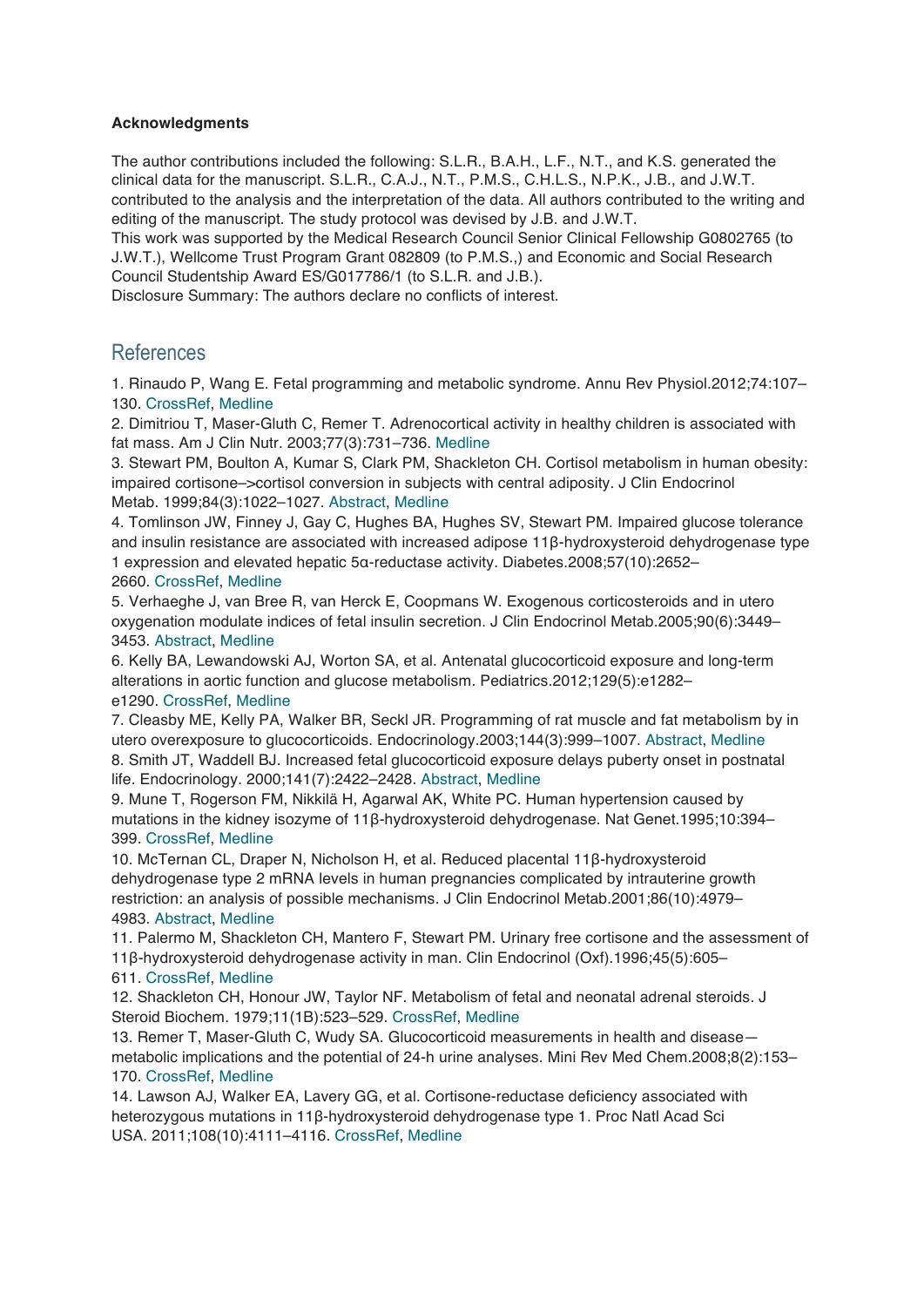#### **Acknowledgments**

The author contributions included the following: S.L.R., B.A.H., L.F., N.T., and K.S. generated the clinical data for the manuscript. S.L.R., C.A.J., N.T., P.M.S., C.H.L.S., N.P.K., J.B., and J.W.T. contributed to the analysis and the interpretation of the data. All authors contributed to the writing and editing of the manuscript. The study protocol was devised by J.B. and J.W.T.

This work was supported by the Medical Research Council Senior Clinical Fellowship G0802765 (to J.W.T.), Wellcome Trust Program Grant 082809 (to P.M.S.,) and Economic and Social Research Council Studentship Award ES/G017786/1 (to S.L.R. and J.B.).

Disclosure Summary: The authors declare no conflicts of interest.

# References

1. Rinaudo P, Wang E. Fetal programming and metabolic syndrome. Annu Rev Physiol.2012;74:107– 130. CrossRef, Medline

2. Dimitriou T, Maser-Gluth C, Remer T. Adrenocortical activity in healthy children is associated with fat mass. Am J Clin Nutr. 2003;77(3):731–736. Medline

3. Stewart PM, Boulton A, Kumar S, Clark PM, Shackleton CH. Cortisol metabolism in human obesity: impaired cortisone–>cortisol conversion in subjects with central adiposity. J Clin Endocrinol Metab. 1999;84(3):1022–1027. Abstract, Medline

4. Tomlinson JW, Finney J, Gay C, Hughes BA, Hughes SV, Stewart PM. Impaired glucose tolerance and insulin resistance are associated with increased adipose 11β-hydroxysteroid dehydrogenase type 1 expression and elevated hepatic 5α-reductase activity. Diabetes.2008;57(10):2652– 2660. CrossRef, Medline

5. Verhaeghe J, van Bree R, van Herck E, Coopmans W. Exogenous corticosteroids and in utero oxygenation modulate indices of fetal insulin secretion. J Clin Endocrinol Metab.2005;90(6):3449– 3453. Abstract, Medline

6. Kelly BA, Lewandowski AJ, Worton SA, et al. Antenatal glucocorticoid exposure and long-term alterations in aortic function and glucose metabolism. Pediatrics.2012;129(5):e1282– e1290. CrossRef, Medline

7. Cleasby ME, Kelly PA, Walker BR, Seckl JR. Programming of rat muscle and fat metabolism by in utero overexposure to glucocorticoids. Endocrinology.2003;144(3):999–1007. Abstract, Medline 8. Smith JT, Waddell BJ. Increased fetal glucocorticoid exposure delays puberty onset in postnatal life. Endocrinology. 2000;141(7):2422–2428. Abstract, Medline

9. Mune T, Rogerson FM, Nikkilä H, Agarwal AK, White PC. Human hypertension caused by mutations in the kidney isozyme of 11β-hydroxysteroid dehydrogenase. Nat Genet.1995;10:394– 399. CrossRef, Medline

10. McTernan CL, Draper N, Nicholson H, et al. Reduced placental 11β-hydroxysteroid dehydrogenase type 2 mRNA levels in human pregnancies complicated by intrauterine growth restriction: an analysis of possible mechanisms. J Clin Endocrinol Metab.2001;86(10):4979– 4983. Abstract, Medline

11. Palermo M, Shackleton CH, Mantero F, Stewart PM. Urinary free cortisone and the assessment of 11β-hydroxysteroid dehydrogenase activity in man. Clin Endocrinol (Oxf).1996;45(5):605–

# 611. CrossRef, Medline

12. Shackleton CH, Honour JW, Taylor NF. Metabolism of fetal and neonatal adrenal steroids. J Steroid Biochem. 1979;11(1B):523–529. CrossRef, Medline

13. Remer T, Maser-Gluth C, Wudy SA. Glucocorticoid measurements in health and disease metabolic implications and the potential of 24-h urine analyses. Mini Rev Med Chem.2008;8(2):153– 170. CrossRef, Medline

14. Lawson AJ, Walker EA, Lavery GG, et al. Cortisone-reductase deficiency associated with heterozygous mutations in 11β-hydroxysteroid dehydrogenase type 1. Proc Natl Acad Sci USA. 2011;108(10):4111–4116. CrossRef, Medline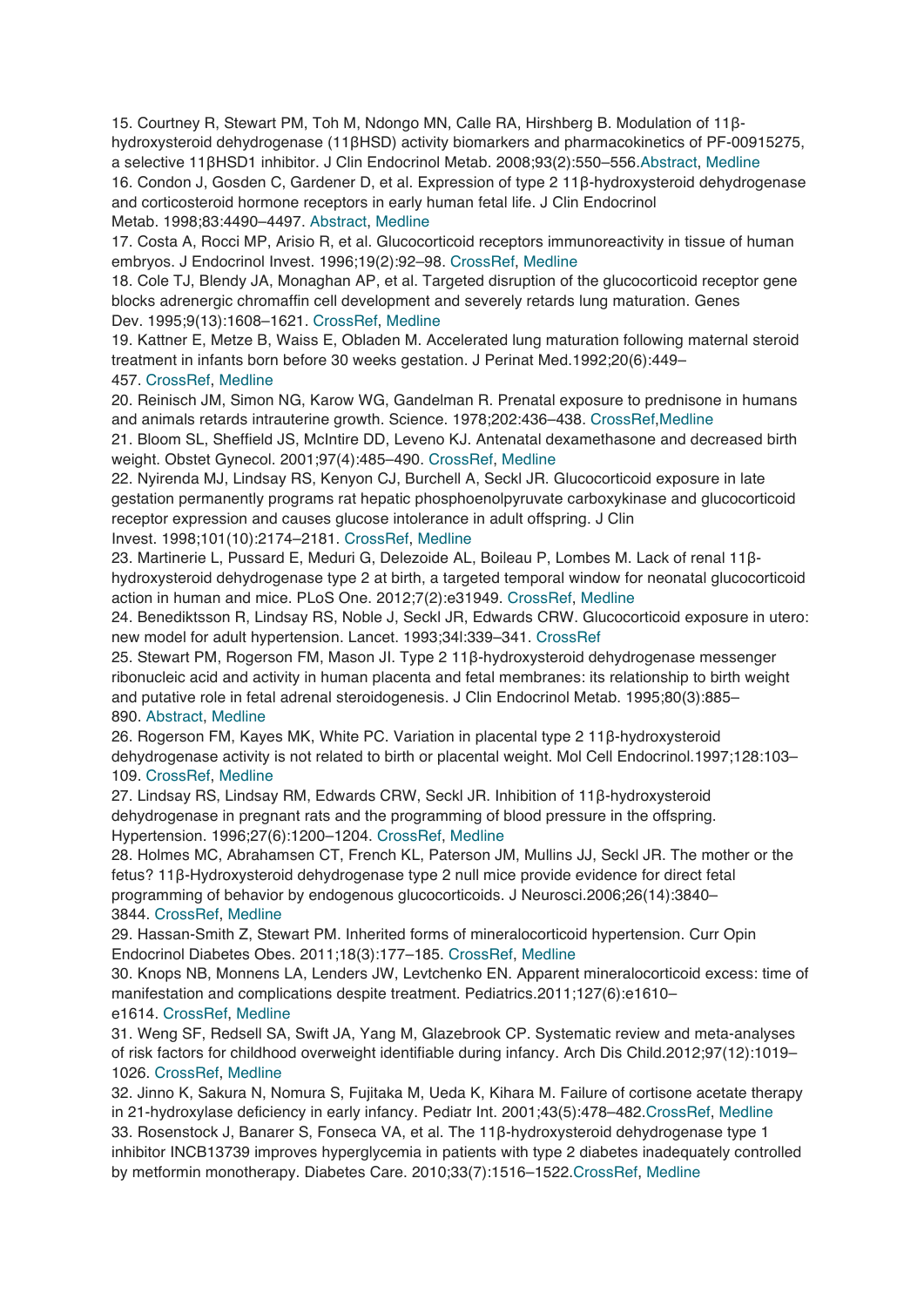15. Courtney R, Stewart PM, Toh M, Ndongo MN, Calle RA, Hirshberg B. Modulation of 11βhydroxysteroid dehydrogenase (11βHSD) activity biomarkers and pharmacokinetics of PF-00915275, a selective 11βHSD1 inhibitor. J Clin Endocrinol Metab. 2008;93(2):550–556.Abstract, Medline 16. Condon J, Gosden C, Gardener D, et al. Expression of type 2 11β-hydroxysteroid dehydrogenase and corticosteroid hormone receptors in early human fetal life. J Clin Endocrinol Metab. 1998;83:4490–4497. Abstract, Medline

17. Costa A, Rocci MP, Arisio R, et al. Glucocorticoid receptors immunoreactivity in tissue of human embryos. J Endocrinol Invest. 1996;19(2):92–98. CrossRef, Medline

18. Cole TJ, Blendy JA, Monaghan AP, et al. Targeted disruption of the glucocorticoid receptor gene blocks adrenergic chromaffin cell development and severely retards lung maturation. Genes Dev. 1995;9(13):1608–1621. CrossRef, Medline

19. Kattner E, Metze B, Waiss E, Obladen M. Accelerated lung maturation following maternal steroid treatment in infants born before 30 weeks gestation. J Perinat Med.1992;20(6):449– 457. CrossRef, Medline

20. Reinisch JM, Simon NG, Karow WG, Gandelman R. Prenatal exposure to prednisone in humans and animals retards intrauterine growth. Science. 1978;202:436–438. CrossRef,Medline

21. Bloom SL, Sheffield JS, McIntire DD, Leveno KJ. Antenatal dexamethasone and decreased birth weight. Obstet Gynecol. 2001;97(4):485–490. CrossRef, Medline

22. Nyirenda MJ, Lindsay RS, Kenyon CJ, Burchell A, Seckl JR. Glucocorticoid exposure in late gestation permanently programs rat hepatic phosphoenolpyruvate carboxykinase and glucocorticoid receptor expression and causes glucose intolerance in adult offspring. J Clin

# Invest. 1998;101(10):2174–2181. CrossRef, Medline

23. Martinerie L, Pussard E, Meduri G, Delezoide AL, Boileau P, Lombes M. Lack of renal 11βhydroxysteroid dehydrogenase type 2 at birth, a targeted temporal window for neonatal glucocorticoid action in human and mice. PLoS One. 2012;7(2):e31949. CrossRef, Medline

24. Benediktsson R, Lindsay RS, Noble J, Seckl JR, Edwards CRW. Glucocorticoid exposure in utero: new model for adult hypertension. Lancet. 1993;34l:339–341. CrossRef

25. Stewart PM, Rogerson FM, Mason JI. Type 2 11β-hydroxysteroid dehydrogenase messenger ribonucleic acid and activity in human placenta and fetal membranes: its relationship to birth weight and putative role in fetal adrenal steroidogenesis. J Clin Endocrinol Metab. 1995;80(3):885– 890. Abstract, Medline

# 26. Rogerson FM, Kayes MK, White PC. Variation in placental type 2 11β-hydroxysteroid

dehydrogenase activity is not related to birth or placental weight. Mol Cell Endocrinol.1997;128:103– 109. CrossRef, Medline

27. Lindsay RS, Lindsay RM, Edwards CRW, Seckl JR. Inhibition of 11β-hydroxysteroid dehydrogenase in pregnant rats and the programming of blood pressure in the offspring. Hypertension. 1996;27(6):1200–1204. CrossRef, Medline

28. Holmes MC, Abrahamsen CT, French KL, Paterson JM, Mullins JJ, Seckl JR. The mother or the fetus? 11β-Hydroxysteroid dehydrogenase type 2 null mice provide evidence for direct fetal programming of behavior by endogenous glucocorticoids. J Neurosci.2006;26(14):3840– 3844. CrossRef, Medline

29. Hassan-Smith Z, Stewart PM. Inherited forms of mineralocorticoid hypertension. Curr Opin Endocrinol Diabetes Obes. 2011;18(3):177–185. CrossRef, Medline

30. Knops NB, Monnens LA, Lenders JW, Levtchenko EN. Apparent mineralocorticoid excess: time of manifestation and complications despite treatment. Pediatrics.2011;127(6):e1610–

#### e1614. CrossRef, Medline

31. Weng SF, Redsell SA, Swift JA, Yang M, Glazebrook CP. Systematic review and meta-analyses of risk factors for childhood overweight identifiable during infancy. Arch Dis Child.2012;97(12):1019– 1026. CrossRef, Medline

32. Jinno K, Sakura N, Nomura S, Fujitaka M, Ueda K, Kihara M. Failure of cortisone acetate therapy in 21-hydroxylase deficiency in early infancy. Pediatr Int. 2001;43(5):478–482.CrossRef, Medline 33. Rosenstock J, Banarer S, Fonseca VA, et al. The 11β-hydroxysteroid dehydrogenase type 1 inhibitor INCB13739 improves hyperglycemia in patients with type 2 diabetes inadequately controlled by metformin monotherapy. Diabetes Care. 2010;33(7):1516–1522.CrossRef, Medline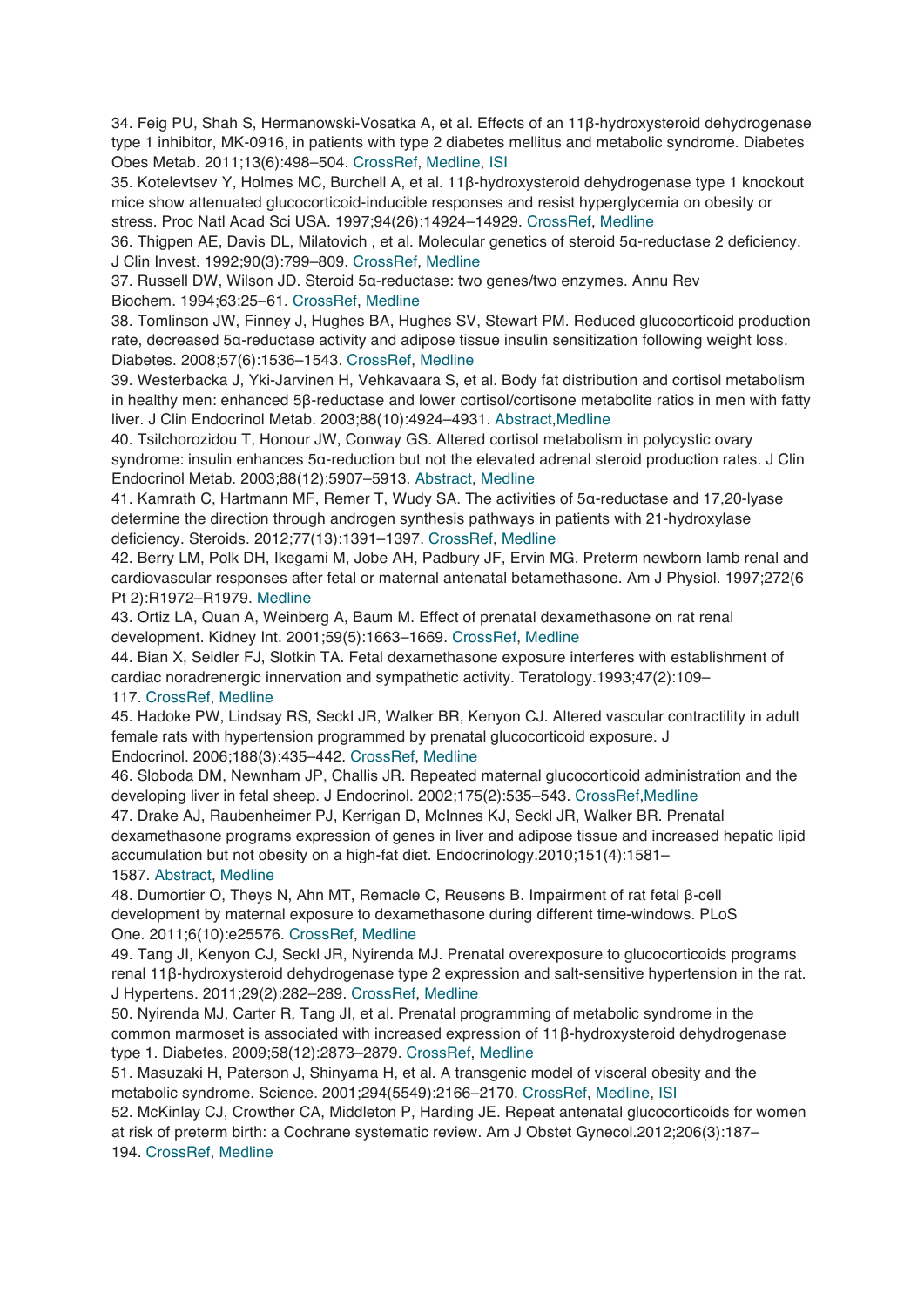34. Feig PU, Shah S, Hermanowski-Vosatka A, et al. Effects of an 11β-hydroxysteroid dehydrogenase type 1 inhibitor, MK-0916, in patients with type 2 diabetes mellitus and metabolic syndrome. Diabetes Obes Metab. 2011;13(6):498–504. CrossRef, Medline, ISI

35. Kotelevtsev Y, Holmes MC, Burchell A, et al. 11β-hydroxysteroid dehydrogenase type 1 knockout mice show attenuated glucocorticoid-inducible responses and resist hyperglycemia on obesity or stress. Proc Natl Acad Sci USA. 1997;94(26):14924–14929. CrossRef, Medline

36. Thigpen AE, Davis DL, Milatovich , et al. Molecular genetics of steroid 5α-reductase 2 deficiency. J Clin Invest. 1992;90(3):799–809. CrossRef, Medline

37. Russell DW, Wilson JD. Steroid 5α-reductase: two genes/two enzymes. Annu Rev Biochem. 1994;63:25–61. CrossRef, Medline

38. Tomlinson JW, Finney J, Hughes BA, Hughes SV, Stewart PM. Reduced glucocorticoid production rate, decreased 5α-reductase activity and adipose tissue insulin sensitization following weight loss. Diabetes. 2008;57(6):1536–1543. CrossRef, Medline

39. Westerbacka J, Yki-Jarvinen H, Vehkavaara S, et al. Body fat distribution and cortisol metabolism in healthy men: enhanced 5β-reductase and lower cortisol/cortisone metabolite ratios in men with fatty liver. J Clin Endocrinol Metab. 2003;88(10):4924–4931. Abstract,Medline

40. Tsilchorozidou T, Honour JW, Conway GS. Altered cortisol metabolism in polycystic ovary syndrome: insulin enhances 5α-reduction but not the elevated adrenal steroid production rates. J Clin Endocrinol Metab. 2003;88(12):5907–5913. Abstract, Medline

41. Kamrath C, Hartmann MF, Remer T, Wudy SA. The activities of 5α-reductase and 17,20-lyase determine the direction through androgen synthesis pathways in patients with 21-hydroxylase deficiency. Steroids. 2012;77(13):1391–1397. CrossRef, Medline

42. Berry LM, Polk DH, Ikegami M, Jobe AH, Padbury JF, Ervin MG. Preterm newborn lamb renal and cardiovascular responses after fetal or maternal antenatal betamethasone. Am J Physiol. 1997;272(6 Pt 2):R1972–R1979. Medline

43. Ortiz LA, Quan A, Weinberg A, Baum M. Effect of prenatal dexamethasone on rat renal development. Kidney Int. 2001;59(5):1663–1669. CrossRef, Medline

44. Bian X, Seidler FJ, Slotkin TA. Fetal dexamethasone exposure interferes with establishment of cardiac noradrenergic innervation and sympathetic activity. Teratology.1993;47(2):109–

117. CrossRef, Medline

45. Hadoke PW, Lindsay RS, Seckl JR, Walker BR, Kenyon CJ. Altered vascular contractility in adult female rats with hypertension programmed by prenatal glucocorticoid exposure. J Endocrinol. 2006;188(3):435–442. CrossRef, Medline

46. Sloboda DM, Newnham JP, Challis JR. Repeated maternal glucocorticoid administration and the developing liver in fetal sheep. J Endocrinol. 2002;175(2):535–543. CrossRef,Medline

47. Drake AJ, Raubenheimer PJ, Kerrigan D, McInnes KJ, Seckl JR, Walker BR. Prenatal dexamethasone programs expression of genes in liver and adipose tissue and increased hepatic lipid accumulation but not obesity on a high-fat diet. Endocrinology.2010;151(4):1581– 1587. Abstract, Medline

48. Dumortier O, Theys N, Ahn MT, Remacle C, Reusens B. Impairment of rat fetal β-cell development by maternal exposure to dexamethasone during different time-windows. PLoS One. 2011;6(10):e25576. CrossRef, Medline

49. Tang JI, Kenyon CJ, Seckl JR, Nyirenda MJ. Prenatal overexposure to glucocorticoids programs renal 11β-hydroxysteroid dehydrogenase type 2 expression and salt-sensitive hypertension in the rat. J Hypertens. 2011;29(2):282–289. CrossRef, Medline

50. Nyirenda MJ, Carter R, Tang JI, et al. Prenatal programming of metabolic syndrome in the common marmoset is associated with increased expression of 11β-hydroxysteroid dehydrogenase type 1. Diabetes. 2009;58(12):2873–2879. CrossRef, Medline

51. Masuzaki H, Paterson J, Shinyama H, et al. A transgenic model of visceral obesity and the metabolic syndrome. Science. 2001;294(5549):2166–2170. CrossRef, Medline, ISI

52. McKinlay CJ, Crowther CA, Middleton P, Harding JE. Repeat antenatal glucocorticoids for women at risk of preterm birth: a Cochrane systematic review. Am J Obstet Gynecol.2012;206(3):187– 194. CrossRef, Medline